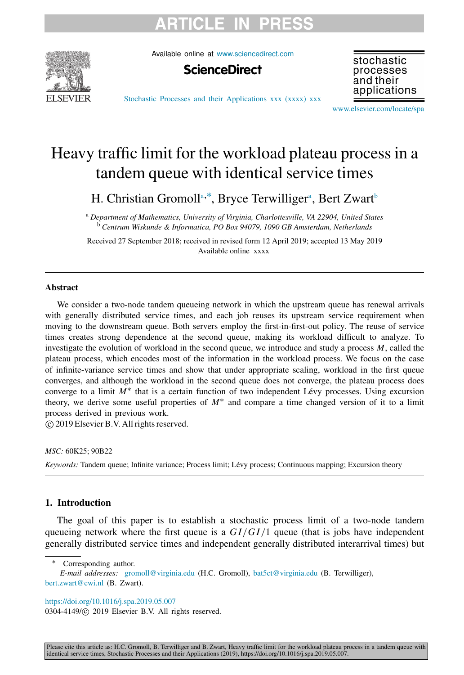# CLE.

<span id="page-0-3"></span>

Available online at [www.sciencedirect.com](http://www.elsevier.com/locate/spa)



stochastic processes and their applications

[Stochastic Processes and their Applications xxx \(xxxx\) xxx](https://doi.org/10.1016/j.spa.2019.05.007)

[www.elsevier.com/locate/spa](http://www.elsevier.com/locate/spa)

# Heavy traffic limit for the workload plateau process in a tandem queue with identical service times

H. Christi[a](#page-0-0)n Gromoll<sup>a,\*</sup>, Bryce Terwilliger<sup>a</sup>, Bert Zwart<sup>[b](#page-0-2)</sup>

<span id="page-0-2"></span><span id="page-0-0"></span><sup>a</sup> *Department of Mathematics, University of Virginia, Charlottesville, VA 22904, United States* <sup>b</sup> *Centrum Wiskunde & Informatica, PO Box 94079, 1090 GB Amsterdam, Netherlands*

Received 27 September 2018; received in revised form 12 April 2019; accepted 13 May 2019 Available online xxxx

### Abstract

We consider a two-node tandem queueing network in which the upstream queue has renewal arrivals with generally distributed service times, and each job reuses its upstream service requirement when moving to the downstream queue. Both servers employ the first-in-first-out policy. The reuse of service times creates strong dependence at the second queue, making its workload difficult to analyze. To investigate the evolution of workload in the second queue, we introduce and study a process *M*, called the plateau process, which encodes most of the information in the workload process. We focus on the case of infinite-variance service times and show that under appropriate scaling, workload in the first queue converges, and although the workload in the second queue does not converge, the plateau process does converge to a limit *M*<sup>∗</sup> that is a certain function of two independent Lévy processes. Using excursion theory, we derive some useful properties of *M*<sup>∗</sup> and compare a time changed version of it to a limit process derived in previous work.

⃝c 2019 Elsevier B.V. All rights reserved.

*MSC:* 60K25; 90B22

*Keywords:* Tandem queue; Infinite variance; Process limit; Lévy process; Continuous mapping; Excursion theory

## 1. Introduction

The goal of this paper is to establish a stochastic process limit of a two-node tandem queueing network where the first queue is a  $GI/GI/1$  queue (that is jobs have independent generally distributed service times and independent generally distributed interarrival times) but

<span id="page-0-1"></span>Corresponding author.

<https://doi.org/10.1016/j.spa.2019.05.007>

0304-4149/© 2019 Elsevier B.V. All rights reserved.

*E-mail addresses:* [gromoll@virginia.edu](mailto:gromoll@virginia.edu) (H.C. Gromoll), [bat5ct@virginia.edu](mailto:bat5ct@virginia.edu) (B. Terwilliger), [bert.zwart@cwi.nl](mailto:bert.zwart@cwi.nl) (B. Zwart).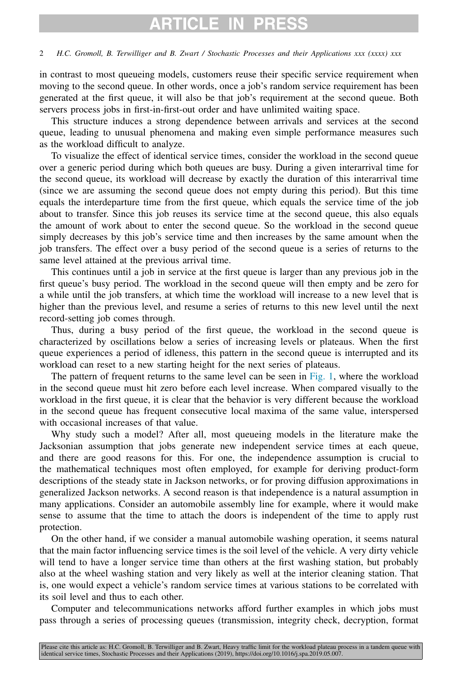# **ARTICLE IN PR**

### 2 *H.C. Gromoll, B. Terwilliger and B. Zwart / Stochastic Processes and their Applications xxx (xxxx) xxx*

in contrast to most queueing models, customers reuse their specific service requirement when moving to the second queue. In other words, once a job's random service requirement has been generated at the first queue, it will also be that job's requirement at the second queue. Both servers process jobs in first-in-first-out order and have unlimited waiting space.

This structure induces a strong dependence between arrivals and services at the second queue, leading to unusual phenomena and making even simple performance measures such as the workload difficult to analyze.

To visualize the effect of identical service times, consider the workload in the second queue over a generic period during which both queues are busy. During a given interarrival time for the second queue, its workload will decrease by exactly the duration of this interarrival time (since we are assuming the second queue does not empty during this period). But this time equals the interdeparture time from the first queue, which equals the service time of the job about to transfer. Since this job reuses its service time at the second queue, this also equals the amount of work about to enter the second queue. So the workload in the second queue simply decreases by this job's service time and then increases by the same amount when the job transfers. The effect over a busy period of the second queue is a series of returns to the same level attained at the previous arrival time.

This continues until a job in service at the first queue is larger than any previous job in the first queue's busy period. The workload in the second queue will then empty and be zero for a while until the job transfers, at which time the workload will increase to a new level that is higher than the previous level, and resume a series of returns to this new level until the next record-setting job comes through.

Thus, during a busy period of the first queue, the workload in the second queue is characterized by oscillations below a series of increasing levels or plateaus. When the first queue experiences a period of idleness, this pattern in the second queue is interrupted and its workload can reset to a new starting height for the next series of plateaus.

The pattern of frequent returns to the same level can be seen in [Fig.](#page-2-0) [1](#page-2-0), where the workload in the second queue must hit zero before each level increase. When compared visually to the workload in the first queue, it is clear that the behavior is very different because the workload in the second queue has frequent consecutive local maxima of the same value, interspersed with occasional increases of that value.

Why study such a model? After all, most queueing models in the literature make the Jacksonian assumption that jobs generate new independent service times at each queue, and there are good reasons for this. For one, the independence assumption is crucial to the mathematical techniques most often employed, for example for deriving product-form descriptions of the steady state in Jackson networks, or for proving diffusion approximations in generalized Jackson networks. A second reason is that independence is a natural assumption in many applications. Consider an automobile assembly line for example, where it would make sense to assume that the time to attach the doors is independent of the time to apply rust protection.

On the other hand, if we consider a manual automobile washing operation, it seems natural that the main factor influencing service times is the soil level of the vehicle. A very dirty vehicle will tend to have a longer service time than others at the first washing station, but probably also at the wheel washing station and very likely as well at the interior cleaning station. That is, one would expect a vehicle's random service times at various stations to be correlated with its soil level and thus to each other.

Computer and telecommunications networks afford further examples in which jobs must pass through a series of processing queues (transmission, integrity check, decryption, format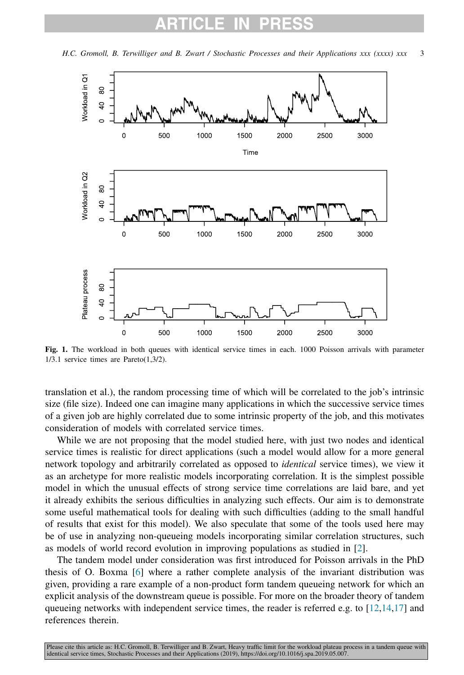# CI E





<span id="page-2-0"></span>Fig. 1. The workload in both queues with identical service times in each. 1000 Poisson arrivals with parameter 1/3.1 service times are Pareto(1,3/2).

translation et al.), the random processing time of which will be correlated to the job's intrinsic size (file size). Indeed one can imagine many applications in which the successive service times of a given job are highly correlated due to some intrinsic property of the job, and this motivates consideration of models with correlated service times.

While we are not proposing that the model studied here, with just two nodes and identical service times is realistic for direct applications (such a model would allow for a more general network topology and arbitrarily correlated as opposed to *identical* service times), we view it as an archetype for more realistic models incorporating correlation. It is the simplest possible model in which the unusual effects of strong service time correlations are laid bare, and yet it already exhibits the serious difficulties in analyzing such effects. Our aim is to demonstrate some useful mathematical tools for dealing with such difficulties (adding to the small handful of results that exist for this model). We also speculate that some of the tools used here may be of use in analyzing non-queueing models incorporating similar correlation structures, such as models of world record evolution in improving populations as studied in [\[2](#page-25-0)].

The tandem model under consideration was first introduced for Poisson arrivals in the PhD thesis of O. Boxma [[6\]](#page-25-1) where a rather complete analysis of the invariant distribution was given, providing a rare example of a non-product form tandem queueing network for which an explicit analysis of the downstream queue is possible. For more on the broader theory of tandem queueing networks with independent service times, the reader is referred e.g. to [\[12](#page-25-2),[14](#page-25-3)[,17](#page-25-4)] and references therein.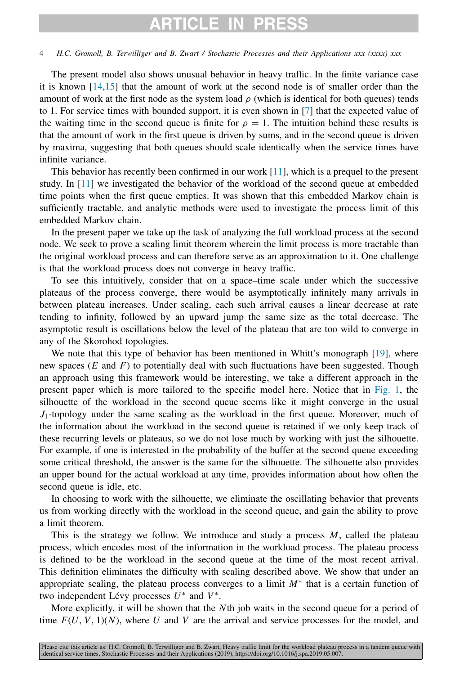# **ARTICLE IN PR**

#### 4 *H.C. Gromoll, B. Terwilliger and B. Zwart / Stochastic Processes and their Applications xxx (xxxx) xxx*

The present model also shows unusual behavior in heavy traffic. In the finite variance case it is known [\[14](#page-25-3),[15\]](#page-25-5) that the amount of work at the second node is of smaller order than the amount of work at the first node as the system load  $\rho$  (which is identical for both queues) tends to 1. For service times with bounded support, it is even shown in [[7\]](#page-25-6) that the expected value of the waiting time in the second queue is finite for  $\rho = 1$ . The intuition behind these results is that the amount of work in the first queue is driven by sums, and in the second queue is driven by maxima, suggesting that both queues should scale identically when the service times have infinite variance.

This behavior has recently been confirmed in our work [\[11](#page-25-7)], which is a prequel to the present study. In [[11\]](#page-25-7) we investigated the behavior of the workload of the second queue at embedded time points when the first queue empties. It was shown that this embedded Markov chain is sufficiently tractable, and analytic methods were used to investigate the process limit of this embedded Markov chain.

In the present paper we take up the task of analyzing the full workload process at the second node. We seek to prove a scaling limit theorem wherein the limit process is more tractable than the original workload process and can therefore serve as an approximation to it. One challenge is that the workload process does not converge in heavy traffic.

To see this intuitively, consider that on a space–time scale under which the successive plateaus of the process converge, there would be asymptotically infinitely many arrivals in between plateau increases. Under scaling, each such arrival causes a linear decrease at rate tending to infinity, followed by an upward jump the same size as the total decrease. The asymptotic result is oscillations below the level of the plateau that are too wild to converge in any of the Skorohod topologies.

We note that this type of behavior has been mentioned in Whitt's monograph [\[19](#page-25-8)], where new spaces (*E* and *F*) to potentially deal with such fluctuations have been suggested. Though an approach using this framework would be interesting, we take a different approach in the present paper which is more tailored to the specific model here. Notice that in [Fig.](#page-2-0) [1](#page-2-0), the silhouette of the workload in the second queue seems like it might converge in the usual *J*1-topology under the same scaling as the workload in the first queue. Moreover, much of the information about the workload in the second queue is retained if we only keep track of these recurring levels or plateaus, so we do not lose much by working with just the silhouette. For example, if one is interested in the probability of the buffer at the second queue exceeding some critical threshold, the answer is the same for the silhouette. The silhouette also provides an upper bound for the actual workload at any time, provides information about how often the second queue is idle, etc.

In choosing to work with the silhouette, we eliminate the oscillating behavior that prevents us from working directly with the workload in the second queue, and gain the ability to prove a limit theorem.

This is the strategy we follow. We introduce and study a process *M*, called the plateau process, which encodes most of the information in the workload process. The plateau process is defined to be the workload in the second queue at the time of the most recent arrival. This definition eliminates the difficulty with scaling described above. We show that under an appropriate scaling, the plateau process converges to a limit *M*<sup>∗</sup> that is a certain function of two independent Lévy processes  $U^*$  and  $V^*$ .

More explicitly, it will be shown that the *N*th job waits in the second queue for a period of time  $F(U, V, 1)(N)$ , where U and V are the arrival and service processes for the model, and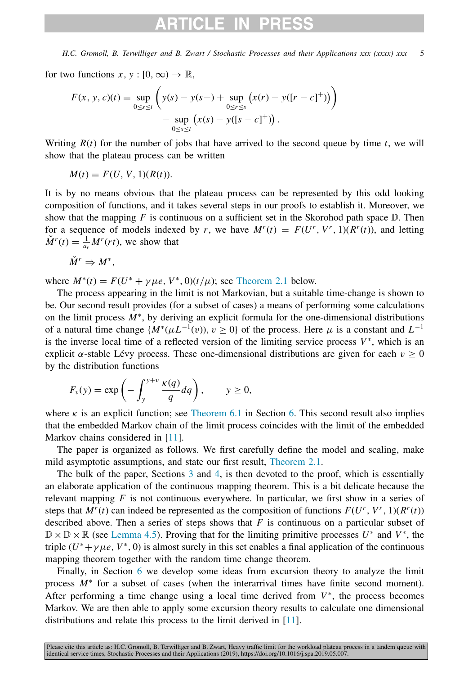#### **RTICLE IN PF**

*H.C. Gromoll, B. Terwilliger and B. Zwart / Stochastic Processes and their Applications xxx (xxxx) xxx* 5

for two functions  $x, y : [0, \infty) \to \mathbb{R}$ ,

$$
F(x, y, c)(t) = \sup_{0 \le s \le t} \left( y(s) - y(s-) + \sup_{0 \le r \le s} \left( x(r) - y([r - c]^+) \right) \right) - \sup_{0 \le s \le t} \left( x(s) - y([s - c]^+) \right).
$$

Writing  $R(t)$  for the number of jobs that have arrived to the second queue by time  $t$ , we will show that the plateau process can be written

$$
M(t) = F(U, V, 1)(R(t)).
$$

It is by no means obvious that the plateau process can be represented by this odd looking composition of functions, and it takes several steps in our proofs to establish it. Moreover, we show that the mapping  $F$  is continuous on a sufficient set in the Skorohod path space  $D$ . Then for a sequence of models indexed by *r*, we have  $M^r(t) = F(U^r, V^r, 1)(R^r(t))$ , and letting  $\check{M}^r(t) = \frac{1}{a_r} M^r(rt)$ , we show that

$$
\check{M}^r \Rightarrow M^*,
$$

where  $M^*(t) = F(U^* + \gamma \mu e, V^*, 0)(t/\mu)$ ; see [Theorem](#page-7-0) [2.1](#page-7-0) below.

The process appearing in the limit is not Markovian, but a suitable time-change is shown to be. Our second result provides (for a subset of cases) a means of performing some calculations on the limit process *M*<sup>∗</sup> , by deriving an explicit formula for the one-dimensional distributions of a natural time change  $\{M^*(\mu L^{-1}(v)), v \ge 0\}$  of the process. Here  $\mu$  is a constant and  $L^{-1}$ is the inverse local time of a reflected version of the limiting service process  $V^*$ , which is an explicit  $\alpha$ -stable Lévy process. These one-dimensional distributions are given for each  $v > 0$ by the distribution functions

$$
F_v(y) = \exp\left(-\int_y^{y+v} \frac{\kappa(q)}{q} dq\right), \qquad y \ge 0,
$$

where  $\kappa$  is an explicit function; see [Theorem](#page-21-0) [6.1](#page-21-0) in Section [6](#page-20-0). This second result also implies that the embedded Markov chain of the limit process coincides with the limit of the embedded Markov chains considered in [[11\]](#page-25-7).

The paper is organized as follows. We first carefully define the model and scaling, make mild asymptotic assumptions, and state our first result, [Theorem](#page-7-0) [2.1.](#page-7-0)

The bulk of the paper, Sections [3](#page-7-1) and [4,](#page-11-0) is then devoted to the proof, which is essentially an elaborate application of the continuous mapping theorem. This is a bit delicate because the relevant mapping *F* is not continuous everywhere. In particular, we first show in a series of steps that  $M^r(t)$  can indeed be represented as the composition of functions  $F(U^r, V^r, 1)(R^r(t))$ described above. Then a series of steps shows that *F* is continuous on a particular subset of  $\mathbb{D} \times \mathbb{D} \times \mathbb{R}$  (see [Lemma](#page-15-0) [4.5](#page-15-0)). Proving that for the limiting primitive processes  $U^*$  and  $V^*$ , the triple  $(U^* + \gamma \mu e, V^*, 0)$  is almost surely in this set enables a final application of the continuous mapping theorem together with the random time change theorem.

Finally, in Section [6](#page-20-0) we develop some ideas from excursion theory to analyze the limit process  $M^*$  for a subset of cases (when the interarrival times have finite second moment). After performing a time change using a local time derived from  $V^*$ , the process becomes Markov. We are then able to apply some excursion theory results to calculate one dimensional distributions and relate this process to the limit derived in [\[11](#page-25-7)].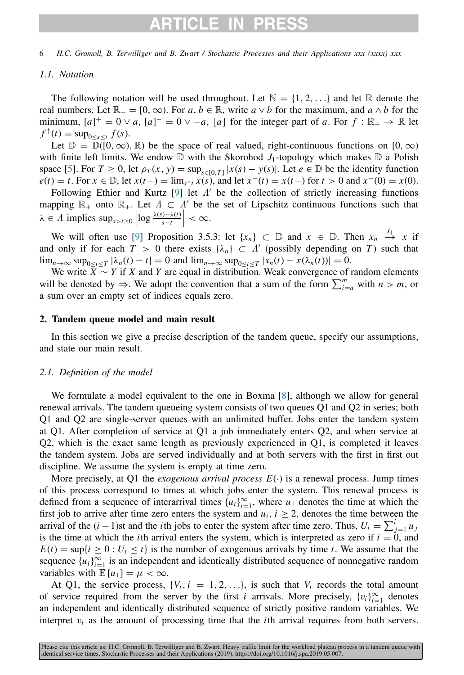# TICI F IN

#### 6 *H.C. Gromoll, B. Terwilliger and B. Zwart / Stochastic Processes and their Applications xxx (xxxx) xxx*

### *1.1. Notation*

The following notation will be used throughout. Let  $\mathbb{N} = \{1, 2, ...\}$  and let R denote the real numbers. Let  $\mathbb{R}_+ = [0, \infty)$ . For *a*, *b*  $\in \mathbb{R}$ , write  $a \vee b$  for the maximum, and  $a \wedge b$  for the minimum,  $[a]^+ = 0 \vee a$ ,  $[a]^-=0 \vee -a$ ,  $[a]$  for the integer part of *a*. For  $f : \mathbb{R}_+ \to \mathbb{R}$  let  $f^{\uparrow}(t) = \sup_{0 \le s \le t} f(s).$ 

Let  $\mathbb{D} = \mathbb{D}([0,\infty), \mathbb{R})$  be the space of real valued, right-continuous functions on  $[0,\infty)$ with finite left limits. We endow  $D$  with the Skorohod  $J_1$ -topology which makes  $D$  a Polish space [\[5](#page-25-9)]. For  $T \ge 0$ , let  $\rho_T(x, y) = \sup_{s \in [0, T]} |x(s) - y(s)|$ . Let  $e \in \mathbb{D}$  be the identity function  $e(t) = t$ . For  $x \in \mathbb{D}$ , let  $x(t-) = \lim_{s \uparrow t} x(s)$ , and let  $x^{-}(t) = x(t-)$  for  $t > 0$  and  $x^{-}(0) = x(0)$ .

Following Ethier and Kurtz [\[9](#page-25-10)] let  $\Lambda'$  be the collection of strictly increasing functions mapping  $\mathbb{R}_+$  onto  $\mathbb{R}_+$ . Let  $\Lambda \subset \Lambda'$  be the set of Lipschitz continuous functions such that  $\lambda \in \Lambda$  implies  $\sup_{s>t \geq 0} \left| \log \frac{\lambda(s) - \lambda(t)}{s - t} \right| < \infty$ .

We will often use [\[9](#page-25-10)] Proposition 3.5.3: let  $\{x_n\} \subset \mathbb{D}$  and  $x \in \mathbb{D}$ . Then  $x_n \stackrel{J_1}{\to} x$  if and only if for each  $T > 0$  there exists  $\{\lambda_n\} \subset \Lambda'$  (possibly depending on *T*) such that  $\lim_{n\to\infty} \sup_{0\leq t\leq T} |\lambda_n(t) - t| = 0$  and  $\lim_{n\to\infty} \sup_{0\leq t\leq T} |x_n(t) - x(\lambda_n(t))| = 0$ .

We write *X* ∼ *Y* if *X* and *Y* are equal in distribution. Weak convergence of random elements will be denoted by  $\Rightarrow$ . We adopt the convention that a sum of the form  $\sum_{i=n}^{m}$  with  $n > m$ , or a sum over an empty set of indices equals zero.

### 2. Tandem queue model and main result

In this section we give a precise description of the tandem queue, specify our assumptions, and state our main result.

### *2.1. Definition of the model*

<span id="page-5-0"></span>We formulate a model equivalent to the one in Boxma [\[8](#page-25-11)], although we allow for general renewal arrivals. The tandem queueing system consists of two queues Q1 and Q2 in series; both Q1 and Q2 are single-server queues with an unlimited buffer. Jobs enter the tandem system at Q1. After completion of service at Q1 a job immediately enters Q2, and when service at Q2, which is the exact same length as previously experienced in Q1, is completed it leaves the tandem system. Jobs are served individually and at both servers with the first in first out discipline. We assume the system is empty at time zero.

More precisely, at Q1 the *exogenous arrival process*  $E(\cdot)$  is a renewal process. Jump times of this process correspond to times at which jobs enter the system. This renewal process is defined from a sequence of interarrival times  $\{u_i\}_{i=1}^{\infty}$ , where  $u_1$  denotes the time at which the first job to arrive after time zero enters the system and  $u_i$ ,  $i \geq 2$ , denotes the time between the arrival of the  $(i - 1)$ st and the *i*th jobs to enter the system after time zero. Thus,  $U_i = \sum_{j=1}^{i} u_j$ is the time at which the *i*th arrival enters the system, which is interpreted as zero if  $i = 0$ , and  $E(t) = \sup\{i \geq 0 : U_i \leq t\}$  is the number of exogenous arrivals by time *t*. We assume that the sequence  $\{u_i\}_{i=1}^{\infty}$  is an independent and identically distributed sequence of nonnegative random variables with  $\mathbb{E}[u_1] = \mu < \infty$ .

At Q1, the service process,  $\{V_i, i = 1, 2, \ldots\}$ , is such that  $V_i$  records the total amount of service required from the server by the first *i* arrivals. More precisely,  $\{v_i\}_{i=1}^{\infty}$  denotes an independent and identically distributed sequence of strictly positive random variables. We interpret  $v_i$  as the amount of processing time that the *i*th arrival requires from both servers.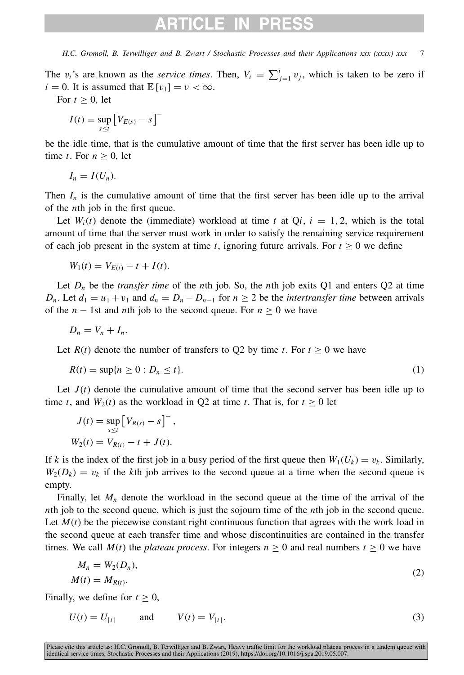#### PR RTICI E IN

*H.C. Gromoll, B. Terwilliger and B. Zwart / Stochastic Processes and their Applications xxx (xxxx) xxx* 7

The  $v_i$ 's are known as the *service times*. Then,  $V_i = \sum_{j=1}^{i} v_j$ , which is taken to be zero if  $i = 0$ . It is assumed that  $\mathbb{E}[v_1] = v < \infty$ .

For  $t > 0$ , let

$$
I(t) = \sup_{s \leq t} \left[ V_{E(s)} - s \right]^{-}
$$

be the idle time, that is the cumulative amount of time that the first server has been idle up to time *t*. For  $n > 0$ , let

$$
I_n=I(U_n).
$$

Then  $I_n$  is the cumulative amount of time that the first server has been idle up to the arrival of the *n*th job in the first queue.

Let  $W_i(t)$  denote the (immediate) workload at time t at Qi,  $i = 1, 2$ , which is the total amount of time that the server must work in order to satisfy the remaining service requirement of each job present in the system at time  $t$ , ignoring future arrivals. For  $t \geq 0$  we define

$$
W_1(t) = V_{E(t)} - t + I(t).
$$

Let *D<sup>n</sup>* be the *transfer time* of the *n*th job. So, the *n*th job exits Q1 and enters Q2 at time *D<sub>n</sub>*. Let  $d_1 = u_1 + v_1$  and  $d_n = D_n - D_{n-1}$  for  $n \geq 2$  be the *intertransfer time* between arrivals of the  $n - 1$ st and *n*th job to the second queue. For  $n \geq 0$  we have

$$
D_n=V_n+I_n.
$$

Let  $R(t)$  denote the number of transfers to Q2 by time *t*. For  $t \ge 0$  we have

$$
R(t) = \sup\{n \ge 0 : D_n \le t\}.\tag{1}
$$

Let  $J(t)$  denote the cumulative amount of time that the second server has been idle up to time *t*, and  $W_2(t)$  as the workload in Q2 at time *t*. That is, for  $t \ge 0$  let

<span id="page-6-1"></span>
$$
J(t) = \sup_{s \le t} [V_{R(s)} - s]^{-},
$$
  
 
$$
W_2(t) = V_{R(t)} - t + J(t).
$$

If *k* is the index of the first job in a busy period of the first queue then  $W_1(U_k) = v_k$ . Similarly,  $W_2(D_k) = v_k$  if the *k*th job arrives to the second queue at a time when the second queue is empty.

Finally, let  $M_n$  denote the workload in the second queue at the time of the arrival of the *n*th job to the second queue, which is just the sojourn time of the *n*th job in the second queue. Let  $M(t)$  be the piecewise constant right continuous function that agrees with the work load in the second queue at each transfer time and whose discontinuities are contained in the transfer times. We call  $M(t)$  the *plateau process*. For integers  $n \geq 0$  and real numbers  $t \geq 0$  we have

<span id="page-6-2"></span><span id="page-6-0"></span>
$$
M_n = W_2(D_n),
$$
  
\n
$$
M(t) = M_{R(t)}.
$$
\n(2)

Finally, we define for  $t > 0$ ,

$$
U(t) = U_{\lfloor t \rfloor} \quad \text{and} \quad V(t) = V_{\lfloor t \rfloor}.
$$
 (3)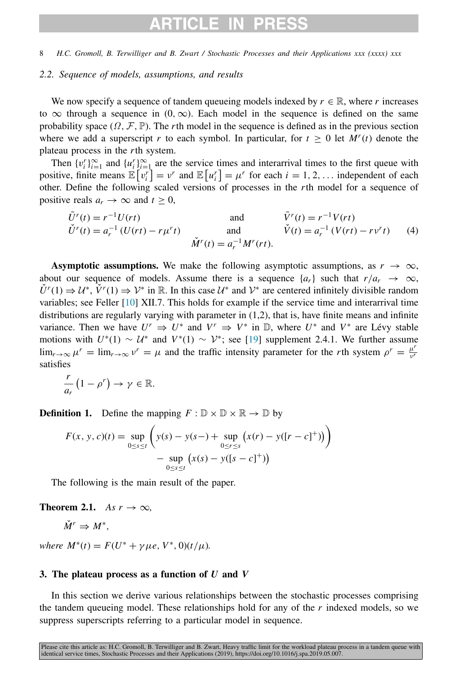# **ARTICLE IN PR**

#### 8 *H.C. Gromoll, B. Terwilliger and B. Zwart / Stochastic Processes and their Applications xxx (xxxx) xxx*

### *2.2. Sequence of models, assumptions, and results*

<span id="page-7-2"></span>We now specify a sequence of tandem queueing models indexed by  $r \in \mathbb{R}$ , where *r* increases to  $\infty$  through a sequence in  $(0, \infty)$ . Each model in the sequence is defined on the same probability space  $(\Omega, \mathcal{F}, \mathbb{P})$ . The *r*th model in the sequence is defined as in the previous section where we add a superscript *r* to each symbol. In particular, for  $t \ge 0$  let  $M^r(t)$  denote the plateau process in the *r*th system.

Then  $\{v_i^r\}_{i=1}^{\infty}$  and  $\{u_i^r\}_{i=1}^{\infty}$  are the service times and interarrival times to the first queue with positive, finite means  $\mathbb{E}[v_i^r] = v^r$  and  $\mathbb{E}[u_i^r] = \mu^r$  for each  $i = 1, 2, ...$  independent of each other. Define the following scaled versions of processes in the *r*th model for a sequence of positive reals  $a_r \to \infty$  and  $t \ge 0$ ,

$$
\bar{U}^r(t) = r^{-1}U(rt) \qquad \text{and} \qquad \bar{V}^r(t) = r^{-1}V(rt) \qquad (4)
$$
\n
$$
\check{U}^r(t) = a_r^{-1} (U(rt) - r\mu^r t) \qquad \text{and} \qquad \check{V}(t) = a_r^{-1} (V(rt) - rv^r t) \qquad (4)
$$
\n
$$
\check{M}^r(t) = a_r^{-1}M^r(rt).
$$

**Asymptotic assumptions.** We make the following asymptotic assumptions, as  $r \to \infty$ , about our sequence of models. Assume there is a sequence  $\{a_r\}$  such that  $r/a_r \rightarrow \infty$ ,  $\check{U}^r(1) \Rightarrow \mathcal{U}^*, \check{V}^r(1) \Rightarrow \mathcal{V}^*$  in R. In this case  $\mathcal{U}^*$  and  $\mathcal{V}^*$  are centered infinitely divisible random variables; see Feller [\[10](#page-25-12)] XII.7. This holds for example if the service time and interarrival time distributions are regularly varying with parameter in  $(1,2)$ , that is, have finite means and infinite variance. Then we have  $U^r \Rightarrow U^*$  and  $V^r \Rightarrow V^*$  in D, where  $U^*$  and  $V^*$  are Lévy stable motions with  $U^*(1) \sim U^*$  and  $V^*(1) \sim V^*$ ; see [[19\]](#page-25-8) supplement 2.4.1. We further assume  $\lim_{r\to\infty}\mu^r = \lim_{r\to\infty}\nu^r = \mu$  and the traffic intensity parameter for the *r*th system  $\rho^r = \frac{\mu^r}{\nu^r}$ ν *r* satisfies

$$
\frac{r}{a_r}\left(1-\rho^r\right)\to\gamma\in\mathbb{R}.
$$

<span id="page-7-3"></span>**Definition 1.** Define the mapping  $F : \mathbb{D} \times \mathbb{D} \times \mathbb{R} \to \mathbb{D}$  by

$$
F(x, y, c)(t) = \sup_{0 \le s \le t} \left( y(s) - y(s-) + \sup_{0 \le r \le s} (x(r) - y([r - c]^+)) \right)
$$
  
- 
$$
\sup_{0 \le s \le t} (x(s) - y([s - c]^+))
$$

The following is the main result of the paper.

**Theorem 2.1.** *As*  $r \to \infty$ *,* 

<span id="page-7-0"></span>
$$
\check{M}^r \Rightarrow M^*,
$$

*where*  $M^*(t) = F(U^* + \gamma \mu e, V^*, 0)(t/\mu)$ *.* 

### 3. The plateau process as a function of *U* and *V*

<span id="page-7-1"></span>In this section we derive various relationships between the stochastic processes comprising the tandem queueing model. These relationships hold for any of the  $r$  indexed models, so we suppress superscripts referring to a particular model in sequence.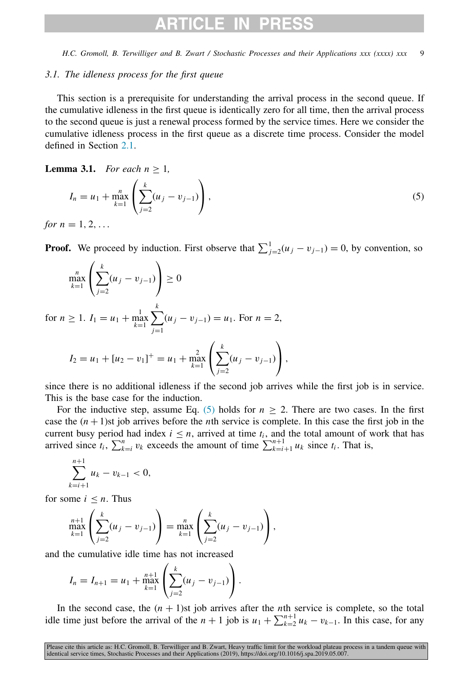*H.C. Gromoll, B. Terwilliger and B. Zwart / Stochastic Processes and their Applications xxx (xxxx) xxx* 9

### *3.1. The idleness process for the first queue*

This section is a prerequisite for understanding the arrival process in the second queue. If the cumulative idleness in the first queue is identically zero for all time, then the arrival process to the second queue is just a renewal process formed by the service times. Here we consider the cumulative idleness process in the first queue as a discrete time process. Consider the model defined in Section [2.1.](#page-5-0)

<span id="page-8-1"></span>**Lemma 3.1.** *For each*  $n \geq 1$ *,* 

$$
I_n = u_1 + \max_{k=1}^n \left( \sum_{j=2}^k (u_j - v_{j-1}) \right),\tag{5}
$$

*for*  $n = 1, 2, ...$ 

**Proof.** We proceed by induction. First observe that  $\sum_{j=2}^{1} (u_j - v_{j-1}) = 0$ , by convention, so

$$
\max_{k=1}^{n} \left( \sum_{j=2}^{k} (u_j - v_{j-1}) \right) \ge 0
$$

for  $n \ge 1$ .  $I_1 = u_1 + \max_{k=1}^1$ ∑ *k j*=1  $(u_j - v_{j-1}) = u_1$ . For  $n = 2$ ,  $I_2 = u_1 + [u_2 - v_1]^+ = u_1 + \max_{k=1}^2$  $\sqrt{2}$  $\left(\sum_{k=1}^{k} x_k\right)$  $(u_j - v_{j-1})$  $\setminus$  $\vert \cdot$ 

since there is no additional idleness if the second job arrives while the first job is in service. This is the base case for the induction.

<span id="page-8-0"></span>*j*=2

For the inductive step, assume Eq. [\(5](#page-8-0)) holds for  $n \ge 2$ . There are two cases. In the first case the  $(n + 1)$ st job arrives before the *n*th service is complete. In this case the first job in the current busy period had index  $i \leq n$ , arrived at time  $t_i$ , and the total amount of work that has arrived since  $t_i$ ,  $\sum_{k=i}^{n} v_k$  exceeds the amount of time  $\sum_{k=i+1}^{n+1} u_k$  since  $t_i$ . That is,

$$
\sum_{k=i+1}^{n+1} u_k - v_{k-1} < 0,
$$

for some  $i \leq n$ . Thus

$$
\max_{k=1}^{n+1} \left( \sum_{j=2}^{k} (u_j - v_{j-1}) \right) = \max_{k=1}^{n} \left( \sum_{j=2}^{k} (u_j - v_{j-1}) \right),
$$

and the cumulative idle time has not increased

$$
I_n = I_{n+1} = u_1 + \max_{k=1}^{n+1} \left( \sum_{j=2}^k (u_j - v_{j-1}) \right).
$$

In the second case, the  $(n + 1)$ st job arrives after the *n*th service is complete, so the total idle time just before the arrival of the  $n + 1$  job is  $u_1 + \sum_{k=2}^{n+1} u_k - v_{k-1}$ . In this case, for any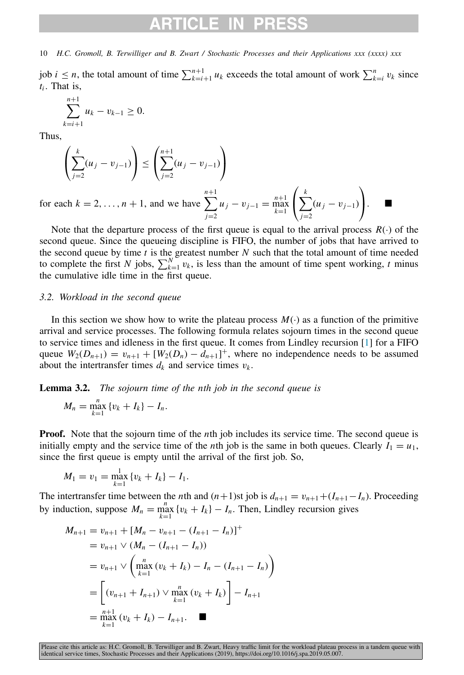# **ARTICLE IN**

#### 10 *H.C. Gromoll, B. Terwilliger and B. Zwart / Stochastic Processes and their Applications xxx (xxxx) xxx*

job *i*  $\leq n$ , the total amount of time  $\sum_{k=i+1}^{n+1} u_k$  exceeds the total amount of work  $\sum_{k=i}^{n} v_k$  since *ti* . That is,

$$
\sum_{k=i+1}^{n+1} u_k - v_{k-1} \ge 0.
$$

Thus,

$$
\left(\sum_{j=2}^{k} (u_j - v_{j-1})\right) \le \left(\sum_{j=2}^{n+1} (u_j - v_{j-1})\right)
$$
  
for each  $k = 2, ..., n + 1$ , and we have 
$$
\sum_{j=2}^{n+1} u_j - v_{j-1} = \max_{k=1}^{n+1} \left(\sum_{j=2}^{k} (u_j - v_{j-1})\right).
$$

Note that the departure process of the first queue is equal to the arrival process  $R(\cdot)$  of the second queue. Since the queueing discipline is FIFO, the number of jobs that have arrived to the second queue by time *t* is the greatest number *N* such that the total amount of time needed to complete the first *N* jobs,  $\sum_{k=1}^{N} v_k$ , is less than the amount of time spent working, *t* minus the cumulative idle time in the first queue.

## *3.2. Workload in the second queue*

In this section we show how to write the plateau process  $M(\cdot)$  as a function of the primitive arrival and service processes. The following formula relates sojourn times in the second queue to service times and idleness in the first queue. It comes from Lindley recursion [[1\]](#page-25-13) for a FIFO queue  $W_2(D_{n+1}) = v_{n+1} + [W_2(D_n) - d_{n+1}]^+$ , where no independence needs to be assumed about the intertransfer times  $d_k$  and service times  $v_k$ .

<span id="page-9-0"></span>Lemma 3.2. *The sojourn time of the nth job in the second queue is*

$$
M_n=\max_{k=1}^n\{v_k+I_k\}-I_n.
$$

**Proof.** Note that the sojourn time of the *n*th job includes its service time. The second queue is initially empty and the service time of the *n*th job is the same in both queues. Clearly  $I_1 = u_1$ , since the first queue is empty until the arrival of the first job. So,

$$
M_1 = v_1 = \max_{k=1}^{1} \{v_k + I_k\} - I_1.
$$

The intertransfer time between the *n*th and  $(n+1)$ st job is  $d_{n+1} = v_{n+1} + (I_{n+1} - I_n)$ . Proceeding by induction, suppose  $M_n = \max_{k=1}^n \{v_k + I_k\} - I_n$ . Then, Lindley recursion gives

$$
M_{n+1} = v_{n+1} + [M_n - v_{n+1} - (I_{n+1} - I_n)]^+
$$
  
=  $v_{n+1} \vee (M_n - (I_{n+1} - I_n))$   
=  $v_{n+1} \vee \left( \max_{k=1}^n (v_k + I_k) - I_n - (I_{n+1} - I_n) \right)$   
=  $\left[ (v_{n+1} + I_{n+1}) \vee \max_{k=1}^n (v_k + I_k) \right] - I_{n+1}$   
=  $\max_{k=1}^{n+1} (v_k + I_k) - I_{n+1}$ .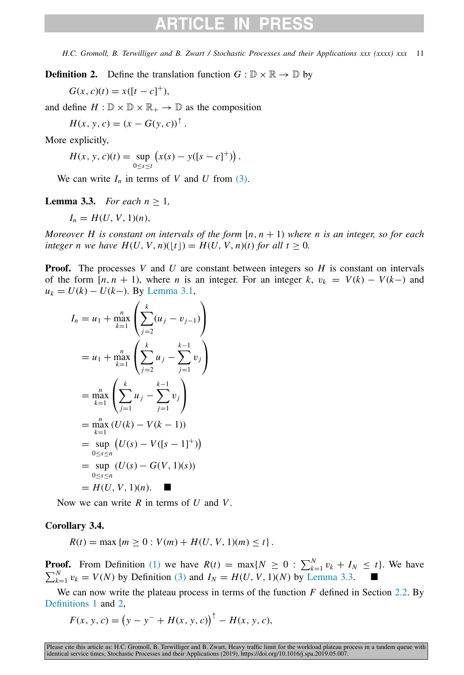# TICI E IN

*H.C. Gromoll, B. Terwilliger and B. Zwart / Stochastic Processes and their Applications xxx (xxxx) xxx* 

<span id="page-10-1"></span>**Definition 2.** Define the translation function  $G : \mathbb{D} \times \mathbb{R} \to \mathbb{D}$  by

$$
G(x, c)(t) = x([t - c]^+),
$$

and define  $H : \mathbb{D} \times \mathbb{D} \times \mathbb{R}_+ \to \mathbb{D}$  as the composition

 $H(x, y, c) = (x - G(y, c))^{\uparrow}$ .

More explicitly,

$$
H(x, y, c)(t) = \sup_{0 \le s \le t} (x(s) - y([s - c]^+)).
$$

We can write  $I_n$  in terms of V and U from [\(3](#page-6-0)).

**Lemma 3.3.** *For each*  $n > 1$ *,* 

<span id="page-10-0"></span> $I_n = H(U, V, 1)(n),$ 

*Moreover H is constant on intervals of the form* [*n*, *n* + 1) *where n is an integer, so for each integer n we have*  $H(U, V, n)(\lfloor t \rfloor) = H(U, V, n)(t)$  *for all t*  $\geq 0$ *.* 

**Proof.** The processes V and U are constant between integers so H is constant on intervals of the form  $[n, n + 1)$ , where *n* is an integer. For an integer  $k$ ,  $v_k = V(k) - V(k-)$  and  $u_k = U(k) - U(k-1)$ . By [Lemma](#page-8-1) [3.1,](#page-8-1)

$$
I_n = u_1 + \max_{k=1}^n \left( \sum_{j=2}^k (u_j - v_{j-1}) \right)
$$
  
=  $u_1 + \max_{k=1}^n \left( \sum_{j=2}^k u_j - \sum_{j=1}^{k-1} v_j \right)$   
=  $\max_{k=1}^n \left( \sum_{j=1}^k u_j - \sum_{j=1}^{k-1} v_j \right)$   
=  $\max_{k=1}^n (U(k) - V(k - 1))$   
=  $\sup_{0 \le s \le n} (U(s) - V([s - 1]^+))$   
=  $\sup_{0 \le s \le n} (U(s) - G(V, 1)(s))$   
=  $H(U, V, 1)(n)$ .

Now we can write *R* in terms of *U* and *V*.

### Corollary 3.4.

<span id="page-10-2"></span> $R(t) = \max \{m \geq 0 : V(m) + H(U, V, 1)(m) \leq t\}.$ 

**Proof.** From Definition ([1\)](#page-6-1) we have  $R(t) = \max\{N \ge 0 : \sum_{k=1}^{N} v_k + I_N \le t\}$ . We have  $\sum_{k=1}^{N} v_k = V(N)$  by Definition [\(3](#page-6-0)) and *I<sub>N</sub>* = *H*(*U*, *V*, 1)(*N*) by [Lemma](#page-10-0) [3.3](#page-10-0). ■

We can now write the plateau process in terms of the function *F* defined in Section [2.2.](#page-7-2) By [Definitions](#page-7-3) [1](#page-7-3) and [2](#page-10-1),

$$
F(x, y, c) = (y - y^{-} + H(x, y, c))^{T} - H(x, y, c),
$$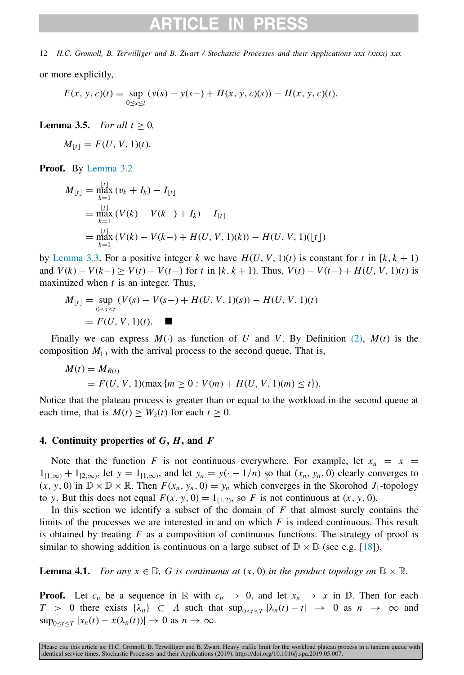# **ARTICLE IN PR**

### 12 *H.C. Gromoll, B. Terwilliger and B. Zwart / Stochastic Processes and their Applications xxx (xxxx) xxx*

or more explicitly,

$$
F(x, y, c)(t) = \sup_{0 \le s \le t} (y(s) - y(s-)) + H(x, y, c)(s)) - H(x, y, c)(t).
$$

<span id="page-11-2"></span>**Lemma 3.5.** *For all t*  $> 0$ *,* 

$$
M_{\lfloor t\rfloor} = F(U, V, 1)(t).
$$

Proof. By [Lemma](#page-9-0) [3.2](#page-9-0)

$$
M_{\lfloor t \rfloor} = \max_{k=1}^{\lfloor t \rfloor} (v_k + I_k) - I_{\lfloor t \rfloor}
$$
  
= 
$$
\max_{k=1}^{\lfloor t \rfloor} (V(k) - V(k-) + I_k) - I_{\lfloor t \rfloor}
$$
  
= 
$$
\max_{k=1}^{\lfloor t \rfloor} (V(k) - V(k-) + H(U, V, 1)(k)) - H(U, V, 1)(\lfloor t \rfloor)
$$

by [Lemma](#page-10-0) [3.3.](#page-10-0) For a positive integer *k* we have  $H(U, V, 1)(t)$  is constant for *t* in  $[k, k + 1)$ and  $V(k) - V(k-) \ge V(t) - V(t-)$  for *t* in [*k*, *k* + 1). Thus,  $V(t) - V(t-) + H(U, V, 1)(t)$  is maximized when *t* is an integer. Thus,

$$
M_{\lfloor t \rfloor} = \sup_{0 \le s \le t} (V(s) - V(s-) + H(U, V, 1)(s)) - H(U, V, 1)(t)
$$
  
=  $F(U, V, 1)(t)$ .

Finally we can express  $M(\cdot)$  as function of *U* and *V*. By Definition [\(2](#page-6-2)),  $M(t)$  is the composition  $M_{(.)}$  with the arrival process to the second queue. That is,

$$
M(t) = M_{R(t)}
$$
  
= F(U, V, 1)(max {m \ge 0 : V(m) + H(U, V, 1)(m) \le t}}).

Notice that the plateau process is greater than or equal to the workload in the second queue at each time, that is  $M(t) \geq W_2(t)$  for each  $t \geq 0$ .

### 4. Continuity properties of *G*, *H*, and *F*

<span id="page-11-0"></span>Note that the function *F* is not continuous everywhere. For example, let  $x_n = x$  $1_{[1,\infty)}$  +  $1_{[2,\infty)}$ , let *y* =  $1_{[1,\infty)}$ , and let *y<sub>n</sub>* = *y*(*·* − 1/*n*) so that  $(x_n, y_n, 0)$  clearly converges to  $(x, y, 0)$  in  $\mathbb{D} \times \mathbb{D} \times \mathbb{R}$ . Then  $F(x_n, y_n, 0) = y_n$  which converges in the Skorohod  $J_1$ -topology to *y*. But this does not equal  $F(x, y, 0) = 1_{[1,2)}$ , so F is not continuous at  $(x, y, 0)$ .

In this section we identify a subset of the domain of *F* that almost surely contains the limits of the processes we are interested in and on which *F* is indeed continuous. This result is obtained by treating  $F$  as a composition of continuous functions. The strategy of proof is similar to showing addition is continuous on a large subset of  $\mathbb{D} \times \mathbb{D}$  (see e.g. [\[18\]](#page-25-14)).

<span id="page-11-1"></span>**Lemma 4.1.** *For any*  $x \in \mathbb{D}$ , *G is continuous at*  $(x, 0)$  *in the product topology on*  $\mathbb{D} \times \mathbb{R}$ *.* 

**Proof.** Let  $c_n$  be a sequence in R with  $c_n \to 0$ , and let  $x_n \to x$  in D. Then for each *T* > 0 there exists  $\{\lambda_n\}$   $\subset \Lambda$  such that  $\sup_{0 \le t \le T} |\lambda_n(t) - t| \to 0$  as  $n \to \infty$  and  $\sup_{0 \le t \le T} |x_n(t) - x(\lambda_n(t))| \to 0 \text{ as } n \to \infty.$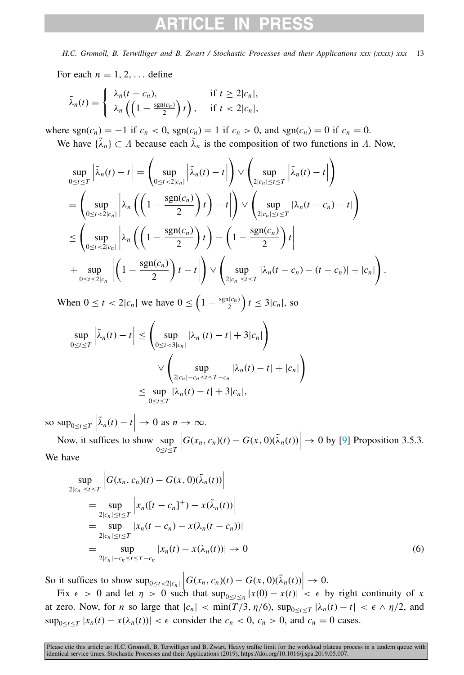*H.C. Gromoll, B. Terwilliger and B. Zwart / Stochastic Processes and their Applications xxx (xxxx) xxx* 13

For each  $n = 1, 2, \ldots$  define

$$
\tilde{\lambda}_n(t) = \begin{cases}\n\lambda_n(t - c_n), & \text{if } t \geq 2|c_n|, \\
\lambda_n\left(\left(1 - \frac{\text{sgn}(c_n)}{2}\right)t\right), & \text{if } t < 2|c_n|,\n\end{cases}
$$

where  $sgn(c_n) = -1$  if  $c_n < 0$ ,  $sgn(c_n) = 1$  if  $c_n > 0$ , and  $sgn(c_n) = 0$  if  $c_n = 0$ .

We have  ${\{\tilde{\lambda}_n\}} \subset \Lambda$  because each  $\tilde{\lambda}_n$  is the composition of two functions in  $\Lambda$ . Now,

$$
\sup_{0\leq t\leq T} \left|\tilde{\lambda}_n(t) - t\right| = \left(\sup_{0\leq t\leq 2|c_n|} \left|\tilde{\lambda}_n(t) - t\right|\right) \vee \left(\sup_{2|c_n|\leq t\leq T} \left|\tilde{\lambda}_n(t) - t\right|\right)
$$
\n
$$
= \left(\sup_{0\leq t\leq 2|c_n|} \left|\lambda_n\left(\left(1 - \frac{\text{sgn}(c_n)}{2}\right)t\right) - t\right|\right) \vee \left(\sup_{2|c_n|\leq t\leq T} |\lambda_n(t - c_n) - t|\right)
$$
\n
$$
\leq \left(\sup_{0\leq t\leq 2|c_n|} \left|\lambda_n\left(\left(1 - \frac{\text{sgn}(c_n)}{2}\right)t\right) - \left(1 - \frac{\text{sgn}(c_n)}{2}\right)t\right|\right)
$$
\n
$$
+ \sup_{0\leq t\leq 2|c_n|} \left|\left(1 - \frac{\text{sgn}(c_n)}{2}\right)t - t\right|\right) \vee \left(\sup_{2|c_n|\leq t\leq T} |\lambda_n(t - c_n) - (t - c_n)| + |c_n|\right).
$$

When  $0 \le t < 2|c_n|$  we have  $0 \le \left(1 - \frac{\text{sgn}(c_n)}{2}\right)t \le 3|c_n|$ , so

$$
\sup_{0 \le t \le T} \left| \tilde{\lambda}_n(t) - t \right| \le \left( \sup_{0 \le t < 3|c_n|} |\lambda_n(t) - t| + 3|c_n| \right)
$$
\n
$$
\vee \left( \sup_{2|c_n| - c_n \le t \le T - c_n} |\lambda_n(t) - t| + |c_n| \right)
$$
\n
$$
\le \sup_{0 \le t \le T} |\lambda_n(t) - t| + 3|c_n|,
$$

so  $\sup_{0 \le t \le T} \left| \tilde{\lambda}_n(t) - t \right| \to 0$  as  $n \to \infty$ .  $\vert$ 

Now, it suffices to show  $\sup_{0 \le t \le T}$  $\left| G(x_n, c_n)(t) - G(x, 0)(\tilde{\lambda}_n(t)) \right| \to 0$  by [\[9](#page-25-10)] Proposition 3.5.3.

We have

$$
\sup_{2|c_n| \le t \le T} \left| G(x_n, c_n)(t) - G(x, 0)(\tilde{\lambda}_n(t)) \right|
$$
\n
$$
= \sup_{2|c_n| \le t \le T} \left| x_n([t - c_n]^+) - x(\tilde{\lambda}_n(t)) \right|
$$
\n
$$
= \sup_{2|c_n| \le t \le T} |x_n(t - c_n) - x(\lambda_n(t - c_n))|
$$
\n
$$
= \sup_{2|c_n| - c_n \le t \le T - c_n} |x_n(t) - x(\lambda_n(t))| \to 0
$$
\n(6)

So it suffices to show  $\sup_{0 \le t < 2|c_n|} |G(x_n, c_n)(t) - G(x, 0)(\tilde{\lambda}_n(t))| \to 0$ .<br>Fix  $\epsilon > 0$  and let  $\eta > 0$  such that  $\sup_{0 \le t \le \eta} |x(0) - x(t)| < \epsilon$  by right continuity of x

at zero. Now, for *n* so large that  $|c_n| < \min(T/3, \eta/6)$ ,  $\sup_{0 \le t \le T} |\lambda_n(t) - t| < \epsilon \wedge \eta/2$ , and  $\sup_{0 \le t \le T} |x_n(t) - x(\lambda_n(t))| < \epsilon$  consider the  $c_n < 0$ ,  $c_n > 0$ , and  $c_n = 0$  cases.

Please cite this article as: H.C. Gromoll, B. Terwilliger and B. Zwart, Heavy traffic limit for the workload plateau process in a tandem queue with<br>identical service times, Stochastic Processes and their Applications (2019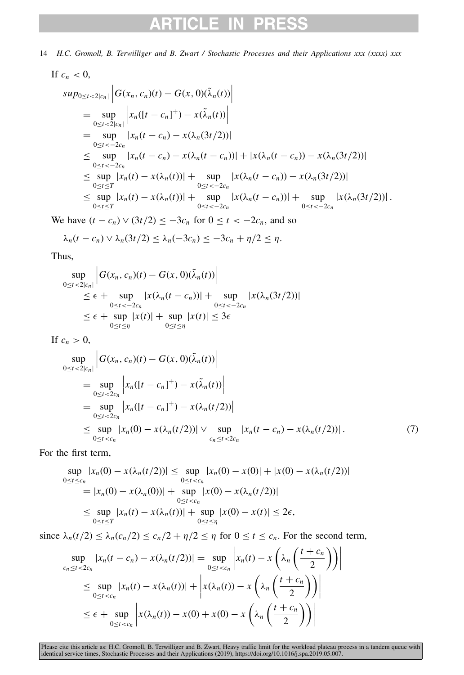#### CLE IN PRESS ΔR

### 14 *H.C. Gromoll, B. Terwilliger and B. Zwart / Stochastic Processes and their Applications xxx (xxxx) xxx*

If 
$$
c_n < 0
$$
,  
\n
$$
sup_{0 \le t < 2|c_n|} |G(x_n, c_n)(t) - G(x, 0)(\tilde{\lambda}_n(t))|
$$
\n
$$
= \sup_{0 \le t < 2|c_n|} |x_n([t - c_n]^+) - x(\tilde{\lambda}_n(t))|
$$
\n
$$
= \sup_{0 \le t < -2c_n} |x_n(t - c_n) - x(\lambda_n(3t/2))|
$$
\n
$$
\le \sup_{0 \le t < -2c_n} |x_n(t - c_n) - x(\lambda_n(t - c_n))| + |x(\lambda_n(t - c_n)) - x(\lambda_n(3t/2))|
$$
\n
$$
\le \sup_{0 \le t < T} |x_n(t) - x(\lambda_n(t))| + \sup_{0 \le t < -2c_n} |x(\lambda_n(t - c_n)) - x(\lambda_n(3t/2))|
$$
\n
$$
\le \sup_{0 \le t \le T} |x_n(t) - x(\lambda_n(t))| + \sup_{0 \le t < -2c_n} |x(\lambda_n(t - c_n))| + \sup_{0 \le t < -2c_n} |x(\lambda_n(3t/2))|.
$$

We have  $(t - c_n) \vee (3t/2) \leq -3c_n$  for  $0 \leq t < -2c_n$ , and so

$$
\lambda_n(t-c_n)\vee\lambda_n(3t/2)\leq\lambda_n(-3c_n)\leq-3c_n+\eta/2\leq\eta.
$$

Thus,

$$
\sup_{0 \leq t < 2|c_n|} \left| G(x_n, c_n)(t) - G(x, 0)(\tilde{\lambda}_n(t)) \right|
$$
\n
$$
\leq \epsilon + \sup_{0 \leq t < -2c_n} |x(\lambda_n(t - c_n))| + \sup_{0 \leq t < -2c_n} |x(\lambda_n(3t/2))|
$$
\n
$$
\leq \epsilon + \sup_{0 \leq t \leq \eta} |x(t)| + \sup_{0 \leq t \leq \eta} |x(t)| \leq 3\epsilon
$$

If  $c_n > 0$ ,

$$
\sup_{0 \le t < 2|c_n|} |G(x_n, c_n)(t) - G(x, 0)(\tilde{\lambda}_n(t))|
$$
\n
$$
= \sup_{0 \le t < 2c_n} |x_n([t - c_n]^+) - x(\tilde{\lambda}_n(t))|
$$
\n
$$
= \sup_{0 \le t < 2c_n} |x_n([t - c_n]^+) - x(\lambda_n(t/2))|
$$
\n
$$
\le \sup_{0 \le t < c_n} |x_n(0) - x(\lambda_n(t/2))| \vee \sup_{c_n \le t < 2c_n} |x_n(t - c_n) - x(\lambda_n(t/2))|.
$$
\n(7)

For the first term,

$$
\sup_{0 \le t \le c_n} |x_n(0) - x(\lambda_n(t/2))| \le \sup_{0 \le t < c_n} |x_n(0) - x(0)| + |x(0) - x(\lambda_n(t/2))|
$$
\n
$$
= |x_n(0) - x(\lambda_n(0))| + \sup_{0 \le t < c_n} |x(0) - x(\lambda_n(t/2))|
$$
\n
$$
\le \sup_{0 \le t < T} |x_n(t) - x(\lambda_n(t))| + \sup_{0 \le t < T} |x(0) - x(t)| \le 2\epsilon,
$$

since  $\lambda_n(t/2) \leq \lambda_n(c_n/2) \leq c_n/2 + \eta/2 \leq \eta$  for  $0 \leq t \leq c_n$ . For the second term,

$$
\sup_{c_n \le t < 2c_n} |x_n(t - c_n) - x(\lambda_n(t/2))| = \sup_{0 \le t < c_n} \left| x_n(t) - x\left(\lambda_n\left(\frac{t + c_n}{2}\right)\right) \right|
$$
\n
$$
\le \sup_{0 \le t < c_n} |x_n(t) - x(\lambda_n(t))| + \left| x(\lambda_n(t)) - x\left(\lambda_n\left(\frac{t + c_n}{2}\right)\right) \right|
$$
\n
$$
\le \epsilon + \sup_{0 \le t < c_n} \left| x(\lambda_n(t)) - x(0) + x(0) - x\left(\lambda_n\left(\frac{t + c_n}{2}\right)\right) \right|
$$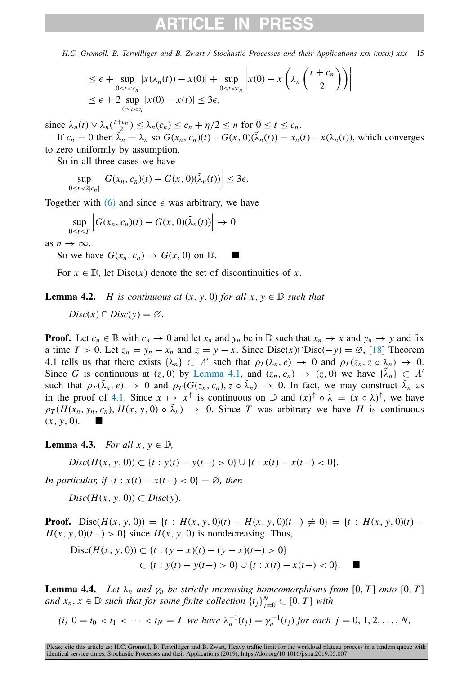*H.C. Gromoll, B. Terwilliger and B. Zwart / Stochastic Processes and their Applications xxx (xxxx) xxx* 15

$$
\leq \epsilon + \sup_{\substack{0 \leq t < c_n \\ t \leq \epsilon + 2}} |x(\lambda_n(t)) - x(0)| + \sup_{\substack{0 \leq t < c_n \\ t \leq \epsilon}} \left| x(0) - x\left(\lambda_n\left(\frac{t + c_n}{2}\right)\right) \right|
$$
\n
$$
\leq \epsilon + 2 \sup_{0 \leq t < \eta} |x(0) - x(t)| \leq 3\epsilon,
$$

since  $\lambda_n(t) \vee \lambda_n(\frac{t+c_n}{2}) \leq \lambda_n(c_n) \leq c_n + \eta/2 \leq \eta$  for  $0 \leq t \leq c_n$ . If  $c_n = 0$  then  $\tilde{\lambda}_n = \lambda_n$  so  $G(x_n, c_n)(t) - G(x, 0)(\tilde{\lambda}_n(t)) = x_n(t) - x(\lambda_n(t))$ , which converges

to zero uniformly by assumption.

So in all three cases we have

$$
\sup_{0\leq t<2|c_n|}\Big|G(x_n,c_n)(t)-G(x,0)(\tilde{\lambda}_n(t))\Big|\leq 3\epsilon.
$$

Together with  $(6)$  $(6)$  and since  $\epsilon$  was arbitrary, we have

$$
\sup_{0\leq t\leq T}\left|G(x_n,c_n)(t)-G(x,0)(\tilde{\lambda}_n(t))\right|\to 0
$$

as  $n \to \infty$ .

So we have  $G(x_n, c_n) \to G(x, 0)$  on  $D$ .

For  $x \in \mathbb{D}$ , let Disc(x) denote the set of discontinuities of x.

### **Lemma 4.2.** *H is continuous at*  $(x, y, 0)$  *for all*  $x, y \in \mathbb{D}$  *such that*

$$
Disc(x) \cap Disc(y) = \varnothing.
$$

**Proof.** Let  $c_n \in \mathbb{R}$  with  $c_n \to 0$  and let  $x_n$  and  $y_n$  be in  $\mathbb{D}$  such that  $x_n \to x$  and  $y_n \to y$  and fix a time  $T > 0$ . Let  $z_n = y_n - x_n$  and  $z = y - x$ . Since Disc(*x*)∩Disc(-*y*) = ∅, [\[18](#page-25-14)] Theorem 4.1 tells us that there exists  $\{\lambda_n\} \subset \Lambda'$  such that  $\rho_T(\lambda_n, e) \to 0$  and  $\rho_T(z_n, z \circ \lambda_n) \to 0$ . Since *G* is continuous at (*z*, 0) by [Lemma](#page-11-1) [4.1,](#page-11-1) and ( $z_n$ ,  $c_n$ )  $\rightarrow$  (*z*, 0) we have { $\tilde{\lambda}_n$ }  $\subset \Lambda'$ such that  $\rho_T(\tilde{\lambda}_n, e) \to 0$  and  $\rho_T(G(z_n, c_n), z \circ \tilde{\lambda}_n) \to 0$ . In fact, we may construct  $\tilde{\lambda}_n$  as in the proof of [4.1.](#page-11-1) Since  $x \mapsto x^{\uparrow}$  is continuous on D and  $(x)^{\uparrow} \circ \tilde{\lambda} = (x \circ \tilde{\lambda})^{\uparrow}$ , we have  $\rho_T(H(x_n, y_n, c_n), H(x, y, 0) \circ \tilde{\lambda}_n) \rightarrow 0$ . Since *T* was arbitrary we have *H* is continuous  $(x, y, 0)$ .  $\blacksquare$ 

<span id="page-14-1"></span>**Lemma 4.3.** *For all*  $x, y \in \mathbb{D}$ *,* 

$$
Disc(H(x, y, 0)) \subset \{t : y(t) - y(t-) > 0\} \cup \{t : x(t) - x(t-) < 0\}.
$$

*In particular, if*  $\{t : x(t) - x(t-) < 0\} = \emptyset$ , then

 $Disc(H(x, y, 0)) \subset Disc(y)$ .

**Proof.** Disc( $H(x, y, 0)$ ) = {*t* :  $H(x, y, 0)(t) - H(x, y, 0)(t-) \neq 0$ } = {*t* :  $H(x, y, 0)(t) H(x, y, 0)(t-) > 0$ } since  $H(x, y, 0)$  is nondecreasing. Thus,

Disc
$$
(H(x, y, 0))
$$
 ⊂ { $t$  :  $(y - x)(t) - (y - x)(t -) > 0$ }  
 ⊂ { $t$  :  $y(t) - y(t -) > 0$ } ∪ { $t$  :  $x(t) - x(t -) < 0$ }. ■

<span id="page-14-0"></span>**Lemma 4.4.** Let  $\lambda_n$  and  $\gamma_n$  be strictly increasing homeomorphisms from [0, *T*] onto [0, *T*] *and*  $x_n, x \in \mathbb{D}$  *such that for some finite collection*  $\{t_j\}_{j=0}^N \subset [0, T]$  *with* 

*(i)*  $0 = t_0 < t_1 < \cdots < t_N = T$  we have  $\lambda_n^{-1}(t_j) = \gamma_n^{-1}(t_j)$  for each  $j = 0, 1, 2, \ldots, N$ ,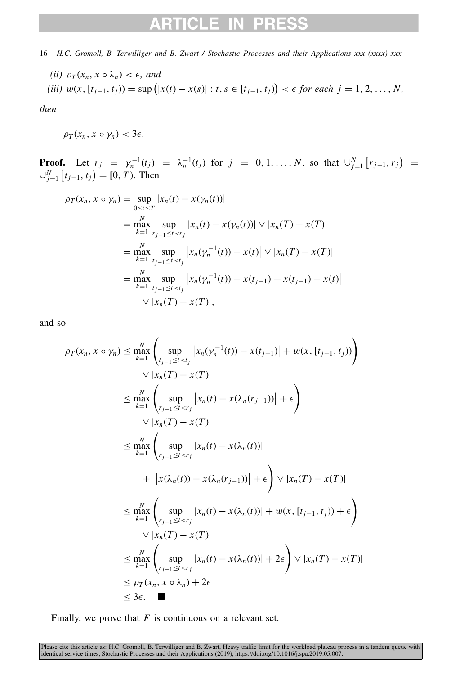# **PRE**

16 *H.C. Gromoll, B. Terwilliger and B. Zwart / Stochastic Processes and their Applications xxx (xxxx) xxx*

*(ii)*  $\rho_T(x_n, x \circ \lambda_n) < \epsilon$ *, and* (iii)  $w(x, [t_{j-1}, t_j)) = \sup(|x(t) - x(s)| : t, s \in [t_{j-1}, t_j)) < \epsilon$  for each  $j = 1, 2, ..., N$ ,

*then*

$$
\rho_T(x_n, x \circ \gamma_n) < 3\epsilon.
$$

**Proof.** Let  $r_j = \gamma_n^{-1}(t_j) = \lambda_n^{-1}(t_j)$  for  $j = 0, 1, ..., N$ , so that  $\bigcup_{j=1}^N [r_{j-1}, r_j] =$  $\bigcup_{j=1}^{N} [t_{j-1}, t_j] = [0, T)$ . Then

$$
\rho_T(x_n, x \circ \gamma_n) = \sup_{0 \le t \le T} |x_n(t) - x(\gamma_n(t))|
$$
  
\n
$$
= \max_{k=1}^N \sup_{r_{j-1} \le t < r_j} |x_n(t) - x(\gamma_n(t))| \vee |x_n(T) - x(T)|
$$
  
\n
$$
= \max_{k=1}^N \sup_{t_{j-1} \le t < t_j} |x_n(\gamma_n^{-1}(t)) - x(t)| \vee |x_n(T) - x(T)|
$$
  
\n
$$
= \max_{k=1}^N \sup_{t_{j-1} \le t < t_j} |x_n(\gamma_n^{-1}(t)) - x(t_{j-1}) + x(t_{j-1}) - x(t)|
$$
  
\n
$$
\vee |x_n(T) - x(T)|,
$$

and so

$$
\rho_T(x_n, x \circ \gamma_n) \leq \max_{k=1}^N \left( \sup_{t_{j-1} \leq t < t_j} |x_n(\gamma_n^{-1}(t)) - x(t_{j-1})| + w(x, [t_{j-1}, t_j)) \right) \n\vee |x_n(T) - x(T)| \n\leq \max_{k=1}^N \left( \sup_{r_{j-1} \leq t < r_j} |x_n(t) - x(\lambda_n(r_{j-1}))| + \epsilon \right) \n\vee |x_n(T) - x(T)| \n\leq \max_{k=1}^N \left( \sup_{r_{j-1} \leq t < r_j} |x_n(t) - x(\lambda_n(t))| \n+ |x(\lambda_n(t)) - x(\lambda_n(r_{j-1}))| + \epsilon \right) \vee |x_n(T) - x(T)| \n\leq \max_{k=1}^N \left( \sup_{r_{j-1} \leq t < r_j} |x_n(t) - x(\lambda_n(t))| + w(x, [t_{j-1}, t_j)) + \epsilon \right) \n\vee |x_n(T) - x(T)| \n\leq \max_{k=1}^N \left( \sup_{r_{j-1} \leq t < r_j} |x_n(t) - x(\lambda_n(t))| + 2\epsilon \right) \vee |x_n(T) - x(T)| \n\leq \rho_T(x_n, x \circ \lambda_n) + 2\epsilon \n\leq 3\epsilon. \blacksquare
$$

<span id="page-15-0"></span>Finally, we prove that *F* is continuous on a relevant set.

Please cite this article as: H.C. Gromoll, B. Terwilliger and B. Zwart, Heavy traffic limit for the workload plateau process in a tandem queue with<br>identical service times, Stochastic Processes and their Applications (2019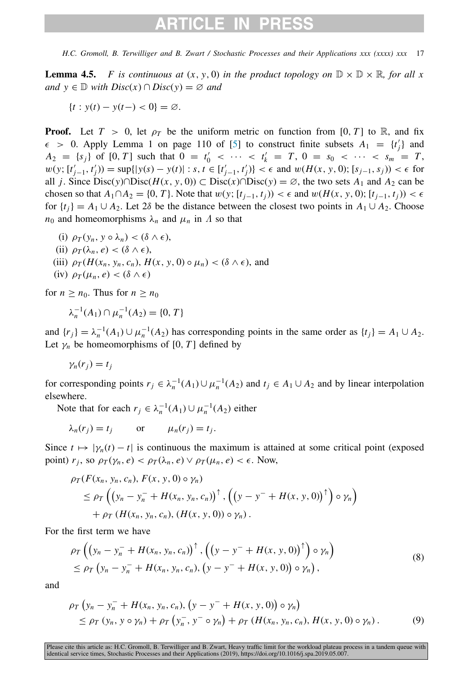# RTICI F IN PR

*H.C. Gromoll, B. Terwilliger and B. Zwart / Stochastic Processes and their Applications xxx (xxxx) xxx* 

**Lemma 4.5.** *F is continuous at*  $(x, y, 0)$  *in the product topology on*  $\mathbb{D} \times \mathbb{D} \times \mathbb{R}$ *, for all x and*  $y$  ∈  $\mathbb D$  *with Disc(x)* ∩ *Disc(y)* = ∅ *and* 

 ${t : y(t) - y(t-) < 0} = ∅.$ 

**Proof.** Let  $T > 0$ , let  $\rho_T$  be the uniform metric on function from [0, *T*] to R, and fix  $\epsilon > 0$ . Apply Lemma 1 on page 110 of [[5\]](#page-25-9) to construct finite subsets  $A_1 = \{t'_j\}$  and  $A_2 = \{s_j\}$  of  $[0, T]$  such that  $0 = t'_0 < \cdots < t'_k = T, 0 = s_0 < \cdots < s_m = T$ ,  $w(y; [t'_{j-1}, t'_{j})) = \sup\{|y(s) - y(t)| : s, t \in [t'_{j-1}, t'_{j})\} < \epsilon$  and  $w(H(x, y, 0); [s_{j-1}, s_{j})) < \epsilon$  for all *j*. Since Disc(*y*)∩Disc(*H*(*x*, *y*, 0)) ⊂ Disc(*x*)∩Disc(*y*) = ∅, the two sets *A*<sub>1</sub> and *A*<sub>2</sub> can be chosen so that  $A_1 ∩ A_2 = \{0, T\}$ . Note that  $w(y; [t_{i-1}, t_i)) < \epsilon$  and  $w(H(x, y, 0); [t_{i-1}, t_i)) < \epsilon$ for  $\{t_i\} = A_1 \cup A_2$ . Let 2 $\delta$  be the distance between the closest two points in  $A_1 \cup A_2$ . Choose *n*<sup>0</sup> and homeomorphisms  $\lambda_n$  and  $\mu_n$  in  $\Lambda$  so that

(i)  $\rho_T(v_n, v \circ \lambda_n) < (\delta \wedge \epsilon),$ (ii)  $\rho_T(\lambda_n, e) < (\delta \wedge \epsilon),$ (iii)  $\rho_T(H(x_n, y_n, c_n), H(x, y, 0) \circ \mu_n) < (\delta \wedge \epsilon)$ , and (iv)  $\rho_T(\mu_n, e) < (\delta \wedge \epsilon)$ 

for  $n \geq n_0$ . Thus for  $n \geq n_0$ 

$$
\lambda_n^{-1}(A_1) \cap \mu_n^{-1}(A_2) = \{0, T\}
$$

and  $\{r_j\} = \lambda_n^{-1}(A_1) \cup \mu_n^{-1}(A_2)$  has corresponding points in the same order as  $\{t_j\} = A_1 \cup A_2$ . Let  $\gamma_n$  be homeomorphisms of [0, *T*] defined by

$$
\gamma_n(r_j)=t_j
$$

for corresponding points  $r_j \in \lambda_n^{-1}(A_1) \cup \mu_n^{-1}(A_2)$  and  $t_j \in A_1 \cup A_2$  and by linear interpolation elsewhere.

Note that for each  $r_j \in \lambda_n^{-1}(A_1) \cup \mu_n^{-1}(A_2)$  either

$$
\lambda_n(r_j) = t_j \qquad \text{or} \qquad \mu_n(r_j) = t_j.
$$

Since  $t \mapsto |\gamma_n(t) - t|$  is continuous the maximum is attained at some critical point (exposed point)  $r_j$ , so  $\rho_T(\gamma_n, e) < \rho_T(\lambda_n, e) \vee \rho_T(\mu_n, e) < \epsilon$ . Now,

$$
\rho_T(F(x_n, y_n, c_n), F(x, y, 0) \circ \gamma_n) \n\leq \rho_T \left( (y_n - y_n^- + H(x_n, y_n, c_n))^{\uparrow}, \left( (y - y^- + H(x, y, 0))^{\uparrow} \right) \circ \gamma_n \right) \n+ \rho_T (H(x_n, y_n, c_n), (H(x, y, 0)) \circ \gamma_n).
$$

For the first term we have

<span id="page-16-0"></span>
$$
\rho_T \left( \left( y_n - y_n^- + H(x_n, y_n, c_n) \right)^{\uparrow}, \left( \left( y - y^- + H(x, y, 0) \right)^{\uparrow} \right) \circ \gamma_n \right) \n\leq \rho_T \left( y_n - y_n^- + H(x_n, y_n, c_n), \left( y - y^- + H(x, y, 0) \right) \circ \gamma_n \right),
$$
\n(8)

and

$$
\rho_T \left( y_n - y_n^- + H(x_n, y_n, c_n), (y - y^- + H(x, y, 0)) \circ \gamma_n \right) \le \rho_T \left( y_n, y \circ \gamma_n \right) + \rho_T \left( y_n^-, y^- \circ \gamma_n \right) + \rho_T \left( H(x_n, y_n, c_n), H(x, y, 0) \circ \gamma_n \right). \tag{9}
$$

Please cite this article as: H.C. Gromoll, B. Terwilliger and B. Zwart, Heavy traffic limit for the workload plateau process in a tandem queue with identical service times, Stochastic Processes and their Applications (2019), https://doi.org/10.1016/j.spa.2019.05.007.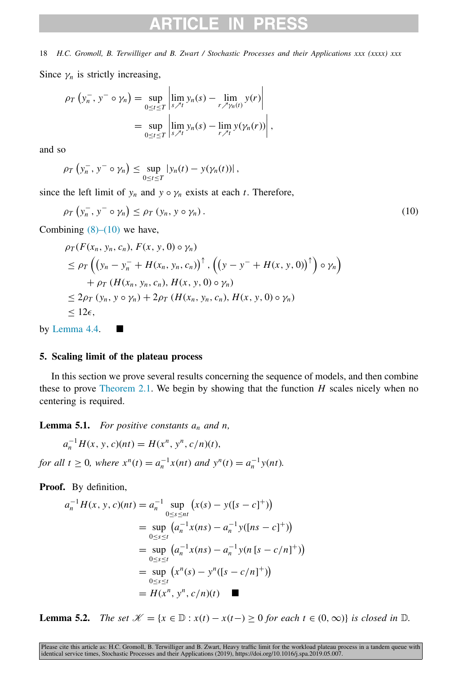# <span id="page-17-0"></span>CIF IN PR

18 *H.C. Gromoll, B. Terwilliger and B. Zwart / Stochastic Processes and their Applications xxx (xxxx) xxx*

Since  $\gamma_n$  is strictly increasing,

$$
\rho_T(y_n^-, y^- \circ \gamma_n) = \sup_{0 \le t \le T} \left| \lim_{s \nearrow t} y_n(s) - \lim_{r \nearrow y_n(t)} y(r) \right|
$$
  
= 
$$
\sup_{0 \le t \le T} \left| \lim_{s \nearrow t} y_n(s) - \lim_{r \nearrow t} y(\gamma_n(r)) \right|,
$$

and so

$$
\rho_T\left(y_n^-, y^-\circ \gamma_n\right) \leq \sup_{0\leq t\leq T}|y_n(t) - y(\gamma_n(t))|,
$$

since the left limit of  $y_n$  and  $y \circ \gamma_n$  exists at each *t*. Therefore,

$$
\rho_T\left(y_n^-, y^-\circ\gamma_n\right) \leq \rho_T\left(y_n, y\circ\gamma_n\right). \tag{10}
$$

Combining  $(8)$  $(8)$ – $(10)$  $(10)$  we have,

$$
\rho_T(F(x_n, y_n, c_n), F(x, y, 0) \circ \gamma_n)
$$
\n
$$
\leq \rho_T\left(\left(y_n - y_n^- + H(x_n, y_n, c_n)\right)^{\uparrow}, \left(\left(y - y^- + H(x, y, 0)\right)^{\uparrow}\right) \circ \gamma_n\right)
$$
\n
$$
+ \rho_T\left(H(x_n, y_n, c_n), H(x, y, 0) \circ \gamma_n\right)
$$
\n
$$
\leq 2\rho_T\left(y_n, y \circ \gamma_n\right) + 2\rho_T\left(H(x_n, y_n, c_n), H(x, y, 0) \circ \gamma_n\right)
$$
\n
$$
\leq 12\epsilon,
$$

by [Lemma](#page-14-0) [4.4](#page-14-0).

### 5. Scaling limit of the plateau process

In this section we prove several results concerning the sequence of models, and then combine these to prove [Theorem](#page-7-0) [2.1](#page-7-0). We begin by showing that the function  $H$  scales nicely when no centering is required.

<span id="page-17-2"></span>**Lemma 5.1.** *For positive constants*  $a_n$  *and n,* 

$$
a_n^{-1}H(x, y, c)(nt) = H(x^n, y^n, c/n)(t),
$$

*for all*  $t \geq 0$ *, where*  $x^n(t) = a_n^{-1}x(nt)$  *and*  $y^n(t) = a_n^{-1}y(nt)$ *.* 

Proof. By definition,

$$
a_n^{-1} H(x, y, c)(nt) = a_n^{-1} \sup_{0 \le s \le nt} (x(s) - y([s - c]^+))
$$
  
= 
$$
\sup_{0 \le s \le t} (a_n^{-1} x(ns) - a_n^{-1} y([ns - c]^+))
$$
  
= 
$$
\sup_{0 \le s \le t} (a_n^{-1} x(ns) - a_n^{-1} y(n [s - c/n]^+))
$$
  
= 
$$
\sup_{0 \le s \le t} (x^n (s) - y^n([s - c/n]^+))
$$
  
= 
$$
H(x^n, y^n, c/n)(t)
$$

<span id="page-17-1"></span>**Lemma 5.2.** *The set*  $\mathcal{K} = \{x \in \mathbb{D} : x(t) - x(t-) \geq 0 \text{ for each } t \in (0, \infty)\}$  *is closed in*  $\mathbb{D}$ *.*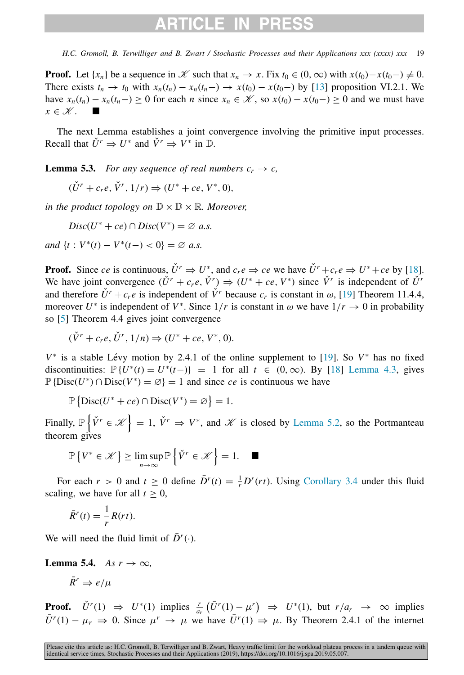# <span id="page-18-1"></span>**RTICI F IN**

*H.C. Gromoll, B. Terwilliger and B. Zwart / Stochastic Processes and their Applications xxx (xxxx) xxx* 

**Proof.** Let  $\{x_n\}$  be a sequence in  $\mathcal{K}$  such that  $x_n \to x$ . Fix  $t_0 \in (0, \infty)$  with  $x(t_0) - x(t_0) \neq 0$ . There exists  $t_n \to t_0$  with  $x_n(t_n) - x_n(t_n) \to x(t_0) - x(t_0)$  by [[13](#page-25-15)] proposition VI.2.1. We have  $x_n(t_n) - x_n(t_n -) \ge 0$  for each *n* since  $x_n \in \mathcal{K}$ , so  $x(t_0) - x(t_0 -) \ge 0$  and we must have  $x \in \mathcal{K}$ .

The next Lemma establishes a joint convergence involving the primitive input processes. Recall that  $\check{U}^r \Rightarrow U^*$  and  $\check{V}^r \Rightarrow V^*$  in  $\mathbb{D}$ .

**Lemma 5.3.** *For any sequence of real numbers*  $c_r \rightarrow c$ *,* 

$$
(\check{U}^r + c_r e, \check{V}^r, 1/r) \Rightarrow (U^* + ce, V^*, 0),
$$

*in the product topology on*  $\mathbb{D} \times \mathbb{D} \times \mathbb{R}$ *. Moreover,* 

$$
Disc(U^* + ce) \cap Disc(V^*) = \varnothing \ a.s.
$$

*and*  $\{t : V^*(t) - V^*(t-) < 0\} = \emptyset$  *a.s.* 

**Proof.** Since *ce* is continuous,  $\check{U}^r \Rightarrow U^*$ , and  $c_r e \Rightarrow ce$  we have  $\check{U}^r + c_r e \Rightarrow U^* + ce$  by [\[18](#page-25-14)]. We have joint convergence  $(\check{U}^r + c_r e, \check{V}^r) \Rightarrow (U^* + ce, V^*)$  since  $\check{V}^r$  is independent of  $\check{U}^r$ and therefore  $\check{U}^r + c_r e$  is independent of  $\check{V}^r$  because  $c_r$  is constant in  $\omega$ , [\[19](#page-25-8)] Theorem 11.4.4, moreover  $U^*$  is independent of  $V^*$ . Since  $1/r$  is constant in  $\omega$  we have  $1/r \to 0$  in probability so [\[5](#page-25-9)] Theorem 4.4 gives joint convergence

$$
(\check{V}^r + c_r e, \check{U}^r, 1/n) \Rightarrow (U^* + ce, V^*, 0).
$$

*V*<sup>\*</sup> is a stable Lévy motion by 2.4.1 of the online supplement to [[19](#page-25-8)]. So *V*<sup>\*</sup> has no fixed discontinuities:  $\mathbb{P}\left\{U^*(t) = U^*(t-)\right\} = 1$  for all  $t \in (0, \infty)$ . By [\[18](#page-25-14)] [Lemma](#page-14-1) [4.3,](#page-14-1) gives  $\mathbb{P} \{ \text{Disc}(U^*) \cap \text{Disc}(V^*) = \emptyset \} = 1$  and since *ce* is continuous we have

$$
\mathbb{P}\left\{\text{Disc}(U^* + ce) \cap \text{Disc}(V^*) = \varnothing\right\} = 1.
$$

Finally,  $\mathbb{P}\left\{\check{V}^r \in \mathcal{K}\right\} = 1$ ,  $\check{V}^r \Rightarrow V^*$ , and  $\mathcal{K}$  is closed by [Lemma](#page-17-1) [5.2,](#page-17-1) so the Portmanteau theorem gives

$$
\mathbb{P}\left\{V^* \in \mathcal{K}\right\} \ge \limsup_{n \to \infty} \mathbb{P}\left\{\check{V}^r \in \mathcal{K}\right\} = 1. \quad \blacksquare
$$

For each  $r > 0$  and  $t \ge 0$  define  $\overline{D}^r(t) = \frac{1}{r} D^r(rt)$ . Using [Corollary](#page-10-2) [3.4](#page-10-2) under this fluid scaling, we have for all  $t > 0$ ,

$$
\bar{R}^r(t) = \frac{1}{r}R(rt).
$$

We will need the fluid limit of  $\overline{D}^r(\cdot)$ .

Lemma 5.4. *As*  $r \to \infty$ ,

<span id="page-18-0"></span>
$$
\bar{R}^r \Rightarrow e/\mu
$$

**Proof.**  $\check{U}^r(1) \Rightarrow U^*(1)$  implies  $\frac{r}{a_r}(\overline{U}^r(1) - \mu^r) \Rightarrow U^*(1)$ , but  $r/a_r \rightarrow \infty$  implies  $\bar{U}^r(1) - \mu_r \Rightarrow 0$ . Since  $\mu^r \rightarrow \mu$  we have  $\bar{U}^r(1) \Rightarrow \mu$ . By Theorem 2.4.1 of the internet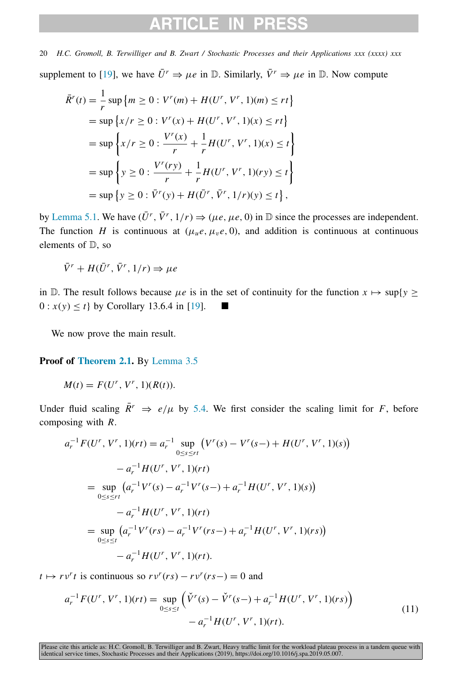#### **PRF ARTICLE IN**

## 20 *H.C. Gromoll, B. Terwilliger and B. Zwart / Stochastic Processes and their Applications xxx (xxxx) xxx*

supplement to [\[19](#page-25-8)], we have  $\bar{U}^r \Rightarrow \mu e$  in  $\mathbb{D}$ . Similarly,  $\bar{V}^r \Rightarrow \mu e$  in  $\mathbb{D}$ . Now compute

$$
\bar{R}^r(t) = \frac{1}{r} \sup \{ m \ge 0 : V^r(m) + H(U^r, V^r, 1)(m) \le rt \}
$$
  
=  $\sup \{ x/r \ge 0 : V^r(x) + H(U^r, V^r, 1)(x) \le rt \}$   
=  $\sup \{ x/r \ge 0 : \frac{V^r(x)}{r} + \frac{1}{r}H(U^r, V^r, 1)(x) \le t \}$   
=  $\sup \{ y \ge 0 : \frac{V^r(ry)}{r} + \frac{1}{r}H(U^r, V^r, 1)(ry) \le t \}$   
=  $\sup \{ y \ge 0 : \bar{V}^r(y) + H(\bar{U}^r, \bar{V}^r, 1/r)(y) \le t \},$ 

by [Lemma](#page-17-2) [5.1.](#page-17-2) We have  $(\bar{U}^r, \bar{V}^r, 1/r) \Rightarrow (\mu e, \mu e, 0)$  in  $\mathbb{D}$  since the processes are independent. The function *H* is continuous at  $(\mu_u e, \mu_v e, 0)$ , and addition is continuous at continuous elements of D, so

$$
\bar{V}^r + H(\bar{U}^r, \bar{V}^r, 1/r) \Rightarrow \mu e
$$

in D. The result follows because  $\mu e$  is in the set of continuity for the function  $x \mapsto \sup\{y \geq 0\}$  $0: x(y) \le t$ } by Corollary 13.6.4 in [\[19\]](#page-25-8). ■

We now prove the main result.

## Proof of [Theorem](#page-7-0) [2.1.](#page-7-0) By [Lemma](#page-11-2) [3.5](#page-11-2)

$$
M(t) = F(U^r, V^r, 1)(R(t)).
$$

Under fluid scaling  $\bar{R}^r$   $\Rightarrow$  *e*/ $\mu$  by [5.4.](#page-18-0) We first consider the scaling limit for *F*, before composing with *R*.

$$
a_r^{-1} F(U^r, V^r, 1)(rt) = a_r^{-1} \sup_{0 \le s \le rt} (V^r(s) - V^r(s-) + H(U^r, V^r, 1)(s))
$$
  
\n
$$
- a_r^{-1} H(U^r, V^r, 1)(rt)
$$
  
\n
$$
= \sup_{0 \le s \le rt} (a_r^{-1} V^r(s) - a_r^{-1} V^r(s-) + a_r^{-1} H(U^r, V^r, 1)(s))
$$
  
\n
$$
- a_r^{-1} H(U^r, V^r, 1)(rt)
$$
  
\n
$$
= \sup_{0 \le s \le t} (a_r^{-1} V^r(rs) - a_r^{-1} V^r(rs) + a_r^{-1} H(U^r, V^r, 1)(rs))
$$
  
\n
$$
- a_r^{-1} H(U^r, V^r, 1)(rt).
$$

 $t \mapsto rv^r t$  is continuous so  $rv^r(rs) - rv^r(rs-) = 0$  and

<span id="page-19-0"></span>
$$
a_r^{-1} F(U^r, V^r, 1)(rt) = \sup_{0 \le s \le t} \left( \check{V}^r(s) - \check{V}^r(s-) + a_r^{-1} H(U^r, V^r, 1)(rs) \right) - a_r^{-1} H(U^r, V^r, 1)(rt).
$$
\n(11)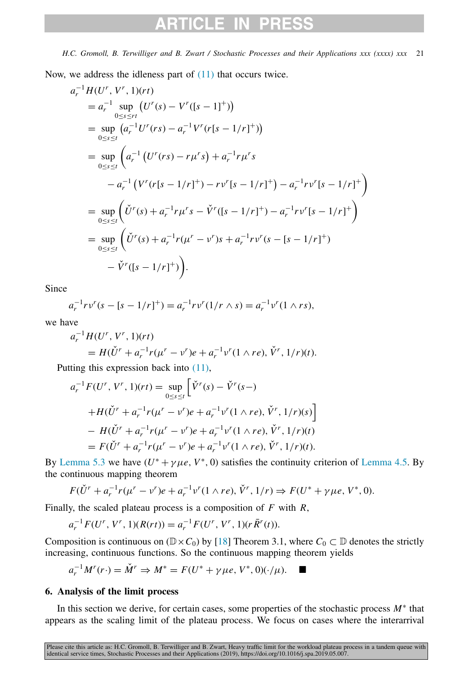#### **RTICLE IN** PR

### *H.C. Gromoll, B. Terwilliger and B. Zwart / Stochastic Processes and their Applications xxx (xxxx) xxx* 21

Now, we address the idleness part of  $(11)$  $(11)$  that occurs twice.

$$
a_r^{-1} H(U^r, V^r, 1)(rt)
$$
  
\n
$$
= a_r^{-1} \sup_{0 \le s \le rt} (U^r(s) - V^r([s - 1]^+))
$$
  
\n
$$
= \sup_{0 \le s \le t} (a_r^{-1} U^r(rs) - a_r^{-1} V^r(r[s - 1/r]^+))
$$
  
\n
$$
= \sup_{0 \le s \le t} \left( a_r^{-1} (U^r(rs) - r\mu^r s) + a_r^{-1} r\mu^r s
$$
  
\n
$$
- a_r^{-1} (V^r(r[s - 1/r]^+) - r\nu^r[s - 1/r]^+) - a_r^{-1} r\nu^r[s - 1/r]^+ \right)
$$
  
\n
$$
= \sup_{0 \le s \le t} (\check{U}^r(s) + a_r^{-1} r\mu^r s - \check{V}^r([s - 1/r]^+) - a_r^{-1} r\nu^r[s - 1/r]^+)
$$
  
\n
$$
= \sup_{0 \le s \le t} (\check{U}^r(s) + a_r^{-1} r(\mu^r - \nu^r)s + a_r^{-1} r\nu^r(s - [s - 1/r]^+)
$$
  
\n
$$
- \check{V}^r([s - 1/r]^+)).
$$

Since

$$
a_r^{-1}r v^r (s - [s - 1/r]^+) = a_r^{-1}r v^r (1/r \wedge s) = a_r^{-1} v^r (1 \wedge rs),
$$

we have

$$
a_r^{-1} H(U^r, V^r, 1)(rt)
$$
  
=  $H(\check{U}^r + a_r^{-1}r(\mu^r - \nu^r)e + a_r^{-1}\nu^r(1 \wedge re), \check{V}^r, 1/r)(t).$ 

Putting this expression back into [\(11](#page-19-0)),

$$
a_r^{-1} F(U^r, V^r, 1)(rt) = \sup_{0 \le s \le t} \left[ \check{V}^r(s) - \check{V}^r(s-)
$$
  
+
$$
H(\check{U}^r + a_r^{-1}r(\mu^r - \nu^r)e + a_r^{-1}\nu^r(1 \wedge re), \check{V}^r, 1/r)(s) \right]
$$
  
- 
$$
H(\check{U}^r + a_r^{-1}r(\mu^r - \nu^r)e + a_r^{-1}\nu^r(1 \wedge re), \check{V}^r, 1/r)(t)
$$
  
= 
$$
F(\check{U}^r + a_r^{-1}r(\mu^r - \nu^r)e + a_r^{-1}\nu^r(1 \wedge re), \check{V}^r, 1/r)(t).
$$

By [Lemma](#page-15-0) [5.3](#page-18-1) we have  $(U^* + \gamma \mu e, V^*, 0)$  satisfies the continuity criterion of Lemma [4.5.](#page-15-0) By the continuous mapping theorem

$$
F(\check{U}^{r} + a_{r}^{-1}r(\mu^{r} - \nu^{r})e + a_{r}^{-1}\nu^{r}(1 \wedge re), \check{V}^{r}, 1/r) \Rightarrow F(U^{*} + \gamma\mu e, V^{*}, 0).
$$

Finally, the scaled plateau process is a composition of *F* with *R*,

$$
a_r^{-1}F(U^r, V^r, 1)(R(rt)) = a_r^{-1}F(U^r, V^r, 1)(r\overline{R}^r(t)).
$$

Composition is continuous on ( $\mathbb{D} \times C_0$ ) by [[18\]](#page-25-14) Theorem 3.1, where  $C_0 \subset \mathbb{D}$  denotes the strictly increasing, continuous functions. So the continuous mapping theorem yields

$$
a_r^{-1}M^r(r \cdot) = \check{M}^r \Rightarrow M^* = F(U^* + \gamma \mu e, V^*, 0)(\cdot/\mu).
$$

### 6. Analysis of the limit process

<span id="page-20-0"></span>In this section we derive, for certain cases, some properties of the stochastic process *M*<sup>∗</sup> that appears as the scaling limit of the plateau process. We focus on cases where the interarrival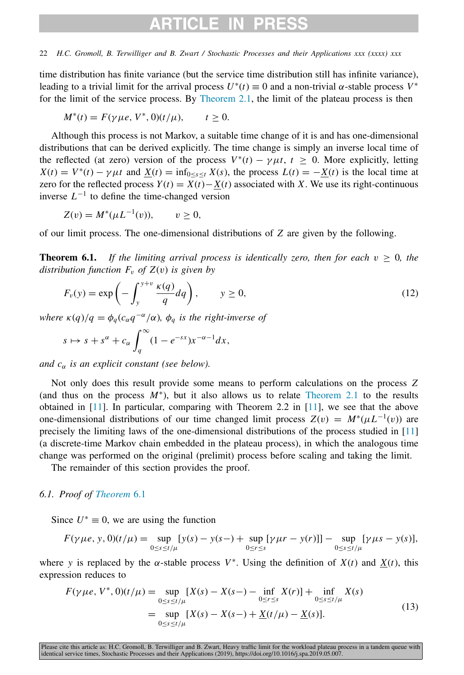# ARTICI F IN P

#### 22 *H.C. Gromoll, B. Terwilliger and B. Zwart / Stochastic Processes and their Applications xxx (xxxx) xxx*

time distribution has finite variance (but the service time distribution still has infinite variance), leading to a trivial limit for the arrival process  $U^*(t) \equiv 0$  and a non-trivial  $\alpha$ -stable process  $V^*$ for the limit of the service process. By [Theorem](#page-7-0) [2.1](#page-7-0), the limit of the plateau process is then

$$
M^*(t) = F(\gamma \mu e, V^*, 0)(t/\mu), \qquad t \ge 0.
$$

Although this process is not Markov, a suitable time change of it is and has one-dimensional distributions that can be derived explicitly. The time change is simply an inverse local time of the reflected (at zero) version of the process  $V^*(t) - \gamma \mu t$ ,  $t \ge 0$ . More explicitly, letting  $X(t) = V^*(t) - \gamma \mu t$  and  $\underline{X}(t) = \inf_{0 \le s \le t} X(s)$ , the process  $L(t) = -\underline{X}(t)$  is the local time at zero for the reflected process  $Y(t) = X(t) - X(t)$  associated with *X*. We use its right-continuous inverse  $L^{-1}$  to define the time-changed version

$$
Z(v) = M^*(\mu L^{-1}(v)), \qquad v \ge 0,
$$

<span id="page-21-0"></span>of our limit process. The one-dimensional distributions of *Z* are given by the following.

**Theorem 6.1.** If the limiting arrival process is identically zero, then for each  $v \ge 0$ , the *distribution function*  $F_v$  *of*  $Z(v)$  *is given by* 

<span id="page-21-2"></span>
$$
F_v(y) = \exp\left(-\int_y^{y+v} \frac{\kappa(q)}{q} dq\right), \qquad y \ge 0,
$$
\n(12)

*where*  $\kappa(q)/q = \phi_q(c_\alpha q^{-\alpha}/\alpha)$ ,  $\phi_q$  *is the right-inverse of* 

$$
s \mapsto s + s^{\alpha} + c_{\alpha} \int_{q}^{\infty} (1 - e^{-sx}) x^{-\alpha - 1} dx,
$$

*and c*<sup>α</sup> *is an explicit constant (see below).*

Not only does this result provide some means to perform calculations on the process *Z* (and thus on the process  $M^*$ ), but it also allows us to relate [Theorem](#page-7-0) [2.1](#page-7-0) to the results obtained in [[11](#page-25-7)]. In particular, comparing with Theorem 2.2 in [[11\]](#page-25-7), we see that the above one-dimensional distributions of our time changed limit process  $Z(v) = M^*(\mu L^{-1}(v))$  are precisely the limiting laws of the one-dimensional distributions of the process studied in [[11\]](#page-25-7) (a discrete-time Markov chain embedded in the plateau process), in which the analogous time change was performed on the original (prelimit) process before scaling and taking the limit.

The remainder of this section provides the proof.

### *6.1. Proof of [Theorem](#page-21-0)* [6.1](#page-21-0)

Since  $U^* \equiv 0$ , we are using the function

$$
F(\gamma \mu e, y, 0)(t/\mu) = \sup_{0 \le s \le t/\mu} [y(s) - y(s-) + \sup_{0 \le r \le s} [\gamma \mu r - y(r)]] - \sup_{0 \le s \le t/\mu} [\gamma \mu s - y(s)],
$$

where *y* is replaced by the  $\alpha$ -stable process  $V^*$ . Using the definition of  $X(t)$  and  $\underline{X}(t)$ , this expression reduces to

<span id="page-21-1"></span>
$$
F(\gamma \mu e, V^*, 0)(t/\mu) = \sup_{0 \le s \le t/\mu} [X(s) - X(s-) - \inf_{0 \le r \le s} X(r)] + \inf_{0 \le s \le t/\mu} X(s)
$$
  
= 
$$
\sup_{0 \le s \le t/\mu} [X(s) - X(s-) + \underline{X}(t/\mu) - \underline{X}(s)].
$$
 (13)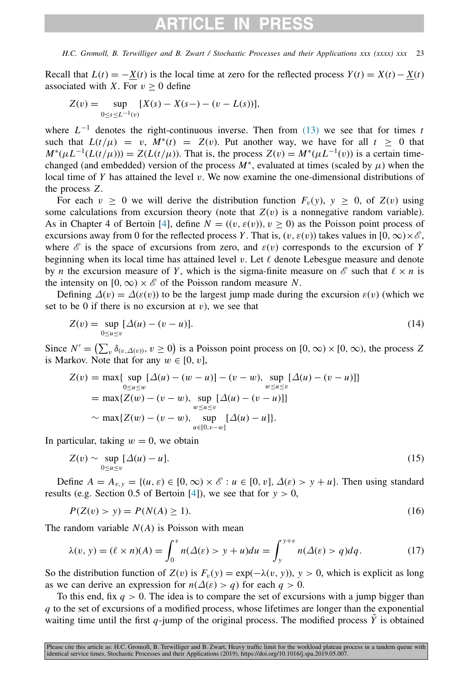# **RTICI F IN**

Recall that  $L(t) = -X(t)$  is the local time at zero for the reflected process  $Y(t) = X(t) - X(t)$ associated with *X*. For  $v \ge 0$  define

$$
Z(v) = \sup_{0 \le s \le L^{-1}(v)} [X(s) - X(s-) - (v - L(s))],
$$

where  $L^{-1}$  denotes the right-continuous inverse. Then from [\(13](#page-21-1)) we see that for times *t* such that  $L(t/\mu) = v$ ,  $M^*(t) = Z(v)$ . Put another way, we have for all  $t \ge 0$  that  $M^*(\mu L^{-1}(L(t/\mu))) = Z(L(t/\mu))$ . That is, the process  $Z(v) = M^*(\mu L^{-1}(v))$  is a certain timechanged (and embedded) version of the process  $M^*$ , evaluated at times (scaled by  $\mu$ ) when the local time of *Y* has attained the level *v*. We now examine the one-dimensional distributions of the process *Z*.

For each  $v \ge 0$  we will derive the distribution function  $F_v(y)$ ,  $y \ge 0$ , of  $Z(v)$  using some calculations from excursion theory (note that  $Z(v)$  is a nonnegative random variable). As in Chapter 4 of Bertoin [\[4](#page-25-16)], define  $N = ((v, \varepsilon(v)), v > 0)$  as the Poisson point process of excursions away from 0 for the reflected process *Y*. That is,  $(v, \varepsilon(v))$  takes values in  $[0, \infty) \times \mathcal{E}$ , where  $\mathscr E$  is the space of excursions from zero, and  $\varepsilon(v)$  corresponds to the excursion of *Y* beginning when its local time has attained level v. Let  $\ell$  denote Lebesgue measure and denote by *n* the excursion measure of *Y*, which is the sigma-finite measure on  $\mathscr E$  such that  $\ell \times n$  is the intensity on  $[0, \infty) \times \mathscr{E}$  of the Poisson random measure *N*.

Defining  $\Delta(v) = \Delta(\varepsilon(v))$  to be the largest jump made during the excursion  $\varepsilon(v)$  (which we set to be 0 if there is no excursion at v), we see that

$$
Z(v) = \sup_{0 \le u \le v} [\Delta(u) - (v - u)].
$$
\n(14)

Since  $N' = (\sum_{v} \delta_{(v,\Delta(v))}, v \ge 0)$  is a Poisson point process on  $[0,\infty) \times [0,\infty)$ , the process *Z* is Markov. Note that for any  $w \in [0, v]$ ,

$$
Z(v) = \max\{\sup_{0 \le u \le w} [\Delta(u) - (w - u)] - (v - w), \sup_{w \le u \le v} [\Delta(u) - (v - u)]\}
$$
  
= 
$$
\max\{Z(w) - (v - w), \sup_{w \le u \le v} [\Delta(u) - (v - u)]\}
$$
  

$$
\sim \max\{Z(w) - (v - w), \sup_{u \in [0, v - w]} [\Delta(u) - u]\}.
$$

In particular, taking  $w = 0$ , we obtain

$$
Z(v) \sim \sup_{0 \le u \le v} [\Delta(u) - u]. \tag{15}
$$

Define  $A = A_{v,y} = \{(u,\varepsilon) \in [0,\infty) \times \mathcal{E} : u \in [0,v], \Delta(\varepsilon) > y+u\}$ . Then using standard results (e.g. Section 0.5 of Bertoin [\[4](#page-25-16)]), we see that for  $y > 0$ ,

$$
P(Z(v) > y) = P(N(A) \ge 1).
$$
 (16)

The random variable *N*(*A*) is Poisson with mean

<span id="page-22-0"></span>
$$
\lambda(v, y) = (\ell \times n)(A) = \int_0^v n(\Delta(\varepsilon) > y + u) du = \int_y^{y+v} n(\Delta(\varepsilon) > q) dq. \tag{17}
$$

So the distribution function of  $Z(v)$  is  $F_v(y) = \exp(-\lambda(v, y))$ ,  $y > 0$ , which is explicit as long as we can derive an expression for  $n(\Delta(\varepsilon) > q)$  for each  $q > 0$ .

To this end, fix  $q > 0$ . The idea is to compare the set of excursions with a jump bigger than *q* to the set of excursions of a modified process, whose lifetimes are longer than the exponential waiting time until the first  $q$ -jump of the original process. The modified process  $\tilde{Y}$  is obtained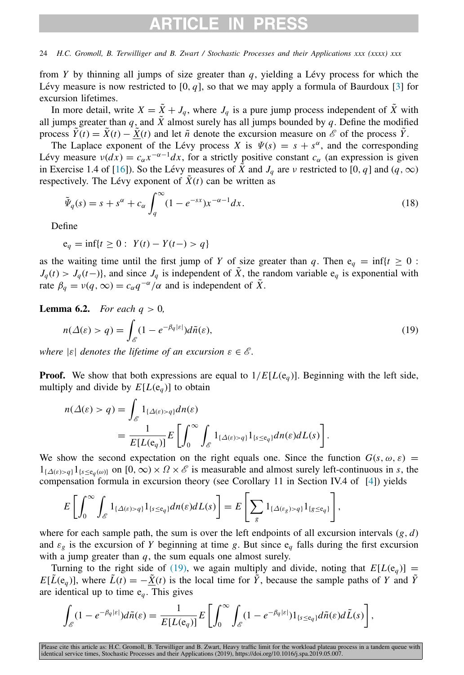# <span id="page-23-1"></span>**ARTICLE IN**

### 24 *H.C. Gromoll, B. Terwilliger and B. Zwart / Stochastic Processes and their Applications xxx (xxxx) xxx*

from *Y* by thinning all jumps of size greater than  $q$ , yielding a Lévy process for which the Lévy measure is now restricted to  $[0, a]$ , so that we may apply a formula of Baurdoux  $[3]$  $[3]$  for excursion lifetimes.

In more detail, write  $X = \tilde{X} + J_q$ , where  $J_q$  is a pure jump process independent of  $\tilde{X}$  with all jumps greater than  $q$ , and  $\tilde{X}$  almost surely has all jumps bounded by  $q$ . Define the modified process  $\tilde{Y}(t) = \tilde{X}(t) - \tilde{X}(t)$  and let  $\tilde{n}$  denote the excursion measure on  $\mathscr{E}$  of the process  $\tilde{Y}$ .

The Laplace exponent of the Lévy process X is  $\Psi(s) = s + s^{\alpha}$ , and the corresponding Lévy measure  $v(dx) = c_\alpha x^{-\alpha-1} dx$ , for a strictly positive constant  $c_\alpha$  (an expression is given in Exercise 1.4 of [\[16](#page-25-18)]). So the Lévy measures of  $\tilde{X}$  and  $J_q$  are  $\nu$  restricted to [0, *q*] and (*q*,  $\infty$ ) respectively. The Lévy exponent of  $\tilde{X}(t)$  can be written as

$$
\tilde{\Psi}_q(s) = s + s^\alpha + c_\alpha \int_q^\infty (1 - e^{-sx}) x^{-\alpha - 1} dx.
$$
\n(18)

Define

$$
e_q = \inf\{t \ge 0 : Y(t) - Y(t-) > q\}
$$

as the waiting time until the first jump of *Y* of size greater than *q*. Then  $e_q = inf\{t \geq 0$ :  $J_q(t) > J_q(t)$ , and since  $J_q$  is independent of  $\tilde{X}$ , the random variable e<sub>q</sub> is exponential with rate  $\beta_q = \nu(q, \infty) = c_\alpha q^{-\alpha}/\alpha$  and is independent of  $\tilde{X}$ .

**Lemma 6.2.** *For each*  $q > 0$ *,* 

<span id="page-23-0"></span>
$$
n(\Delta(\varepsilon) > q) = \int_{\mathscr{E}} (1 - e^{-\beta_q |\varepsilon|}) d\tilde{n}(\varepsilon), \tag{19}
$$

*where*  $|\varepsilon|$  *denotes the lifetime of an excursion*  $\varepsilon \in \mathscr{E}$ .

**Proof.** We show that both expressions are equal to  $1/E[L(e_q)]$ . Beginning with the left side, multiply and divide by  $E[L(e_a)]$  to obtain

$$
n(\Delta(\varepsilon) > q) = \int_{\mathscr{E}} 1_{\{\Delta(\varepsilon) > q\}} dn(\varepsilon)
$$
  
= 
$$
\frac{1}{E[L(\mathbf{e}_q)]} E\left[\int_0^\infty \int_{\mathscr{E}} 1_{\{\Delta(\varepsilon) > q\}} 1_{\{s \le \mathbf{e}_q\}} dn(\varepsilon) dL(s)\right].
$$

We show the second expectation on the right equals one. Since the function  $G(s, \omega, \varepsilon)$  =  $1_{\{\Delta(\varepsilon) > q\}} 1_{\{s \le e_q(\omega)\}}$  on  $[0, \infty) \times \Omega \times \mathscr{E}$  is measurable and almost surely left-continuous in *s*, the compensation formula in excursion theory (see Corollary 11 in Section IV.4 of [[4\]](#page-25-16)) yields

$$
E\left[\int_0^\infty \int_{\mathscr{E}} 1_{\{\Delta(\varepsilon) > q\}} 1_{\{s \le e_q\}} dn(\varepsilon) dL(s)\right] = E\left[\sum_{g} 1_{\{\Delta(\varepsilon_g) > q\}} 1_{\{g \le e_q\}}\right],
$$

where for each sample path, the sum is over the left endpoints of all excursion intervals  $(g, d)$ and  $\varepsilon_g$  is the excursion of *Y* beginning at time *g*. But since  $e_q$  falls during the first excursion with a jump greater than  $q$ , the sum equals one almost surely.

Turning to the right side of ([19\)](#page-23-0), we again multiply and divide, noting that  $E[L(e_q)] =$  $E[L(\mathbf{e}_q)]$ , where  $\hat{L}(t) = -\hat{X}(t)$  is the local time for  $\hat{Y}$ , because the sample paths of *Y* and  $\hat{Y}$ are identical up to time  $e_q$ . This gives

$$
\int_{\mathscr{E}} (1 - e^{-\beta_q |\varepsilon|}) d\tilde{n}(\varepsilon) = \frac{1}{E[L(\mathbf{e}_q)]} E\left[\int_0^\infty \int_{\mathscr{E}} (1 - e^{-\beta_q |\varepsilon|}) 1_{\{s \leq \mathbf{e}_q\}} d\tilde{n}(\varepsilon) d\tilde{L}(s)\right],
$$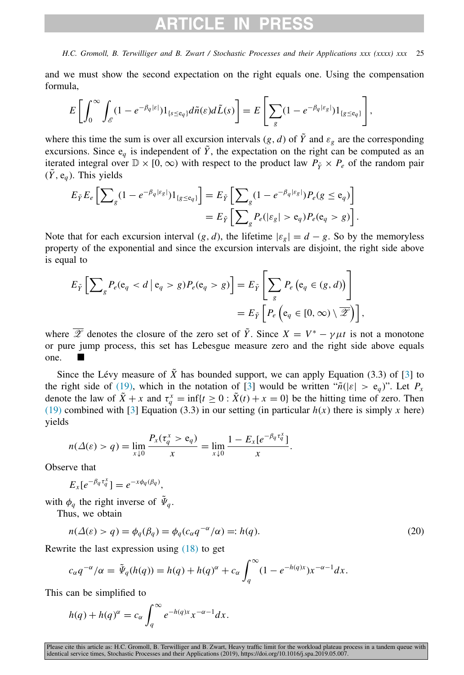### *H.C. Gromoll, B. Terwilliger and B. Zwart / Stochastic Processes and their Applications xxx (xxxx) xxx* 25

and we must show the second expectation on the right equals one. Using the compensation formula,

$$
E\left[\int_0^\infty \int_{\mathscr{E}} (1-e^{-\beta_q|\varepsilon|}) 1_{\{s\leq \mathbf{e}_q\}} d\tilde{n}(\varepsilon) d\tilde{L}(s)\right] = E\left[\sum_g (1-e^{-\beta_q|\varepsilon_g|}) 1_{\{g\leq \mathbf{e}_q\}}\right],
$$

where this time the sum is over all excursion intervals  $(g, d)$  of  $\tilde{Y}$  and  $\varepsilon_g$  are the corresponding excursions. Since  $e_q$  is independent of  $\tilde{Y}$ , the expectation on the right can be computed as an iterated integral over  $\mathbb{D} \times [0, \infty)$  with respect to the product law  $P_{\tilde{Y}} \times P_e$  of the random pair  $(\tilde{Y}, e_a)$ . This yields

$$
E_{\tilde{Y}}E_e \left[ \sum_g (1 - e^{-\beta_q |\varepsilon_g|}) 1_{\{g \le e_q\}} \right] = E_{\tilde{Y}} \left[ \sum_g (1 - e^{-\beta_q |\varepsilon_g|}) P_e(g \le e_q) \right]
$$
  
= 
$$
E_{\tilde{Y}} \left[ \sum_g P_e(|\varepsilon_g| > e_q) P_e(e_q > g) \right].
$$

Note that for each excursion interval  $(g, d)$ , the lifetime  $|\varepsilon_g| = d - g$ . So by the memoryless property of the exponential and since the excursion intervals are disjoint, the right side above is equal to

$$
E_{\tilde{Y}}\left[\sum_{g} P_e(\mathbf{e}_q < d \mid \mathbf{e}_q > g) P_e(\mathbf{e}_q > g)\right] = E_{\tilde{Y}}\left[\sum_{g} P_e(\mathbf{e}_q \in (g, d))\right]
$$
\n
$$
= E_{\tilde{Y}}\left[P_e\left(\mathbf{e}_q \in [0, \infty) \setminus \overline{\mathscr{Z}}\right)\right],
$$

where  $\overline{\mathscr{L}}$  denotes the closure of the zero set of  $\tilde{Y}$ . Since  $X = V^* - \gamma \mu t$  is not a monotone or pure jump process, this set has Lebesgue measure zero and the right side above equals one.

Since the Lévy measure of  $\tilde{X}$  has bounded support, we can apply Equation (3.3) of [\[3](#page-25-17)] to the right side of ([19](#page-23-0)), which in the notation of [\[3](#page-25-17)] would be written " $\tilde{n}(|\varepsilon| > e_q)$ ". Let  $P_x$ denote the law of  $\tilde{X} + x$  and  $\tau_q^x = \inf\{t \ge 0 : \tilde{X}(t) + x = 0\}$  be the hitting time of zero. Then ([19\)](#page-23-0) combined with [\[3](#page-25-17)] Equation (3.3) in our setting (in particular  $h(x)$  there is simply x here) yields

$$
n(\Delta(\varepsilon) > q) = \lim_{x \downarrow 0} \frac{P_x(\tau_q^x > e_q)}{x} = \lim_{x \downarrow 0} \frac{1 - E_x[e^{-\beta_q \tau_q^x}]}{x}.
$$

Observe that

 $E_x[e^{-\beta_q \tau_q^x}] = e^{-x\phi_q(\beta_q)},$ 

with  $\phi_q$  the right inverse of  $\tilde{\Psi}_q$ .

Thus, we obtain

<span id="page-24-0"></span>
$$
n(\Delta(\varepsilon) > q) = \phi_q(\beta_q) = \phi_q(c_\alpha q^{-\alpha}/\alpha) =: h(q).
$$
\n(20)

Rewrite the last expression using ([18\)](#page-23-1) to get

$$
c_{\alpha}q^{-\alpha}/\alpha = \tilde{\Psi}_q(h(q)) = h(q) + h(q)^{\alpha} + c_{\alpha} \int_q^{\infty} (1 - e^{-h(q)x}) x^{-\alpha - 1} dx.
$$

This can be simplified to

$$
h(q) + h(q)^{\alpha} = c_{\alpha} \int_{q}^{\infty} e^{-h(q)x} x^{-\alpha-1} dx.
$$